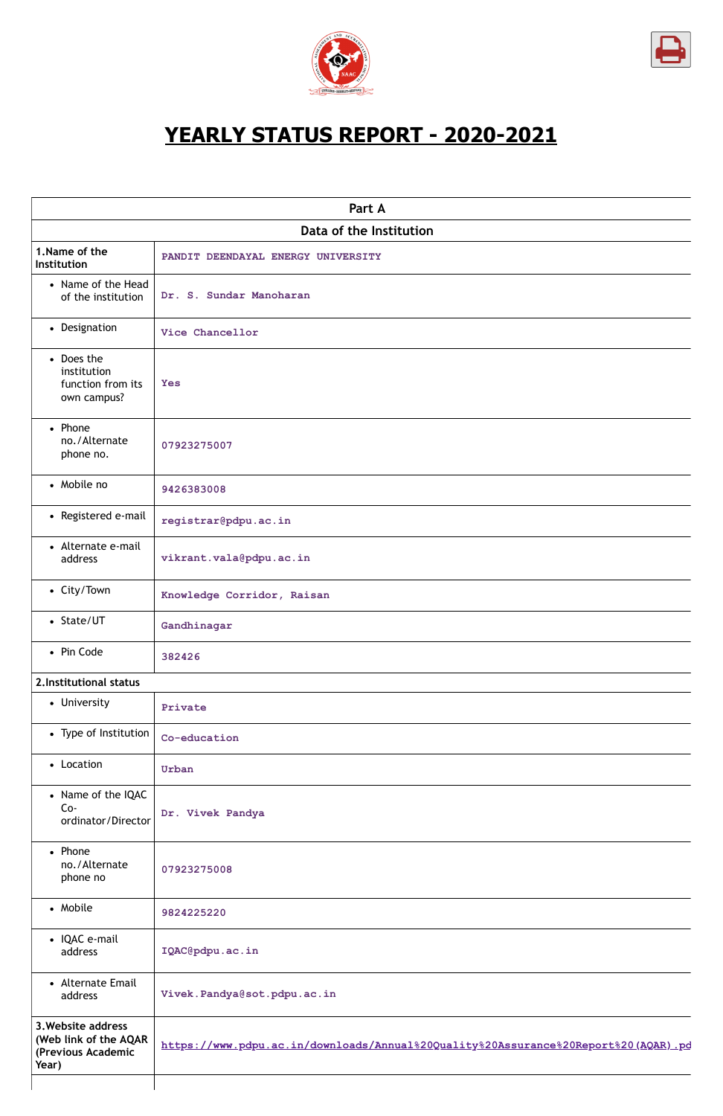



# **YEARLY STATUS REPORT - 2020-2021**

|                                                                            | Part A                                                                             |
|----------------------------------------------------------------------------|------------------------------------------------------------------------------------|
|                                                                            | Data of the Institution                                                            |
| 1. Name of the<br>Institution                                              | PANDIT DEENDAYAL ENERGY UNIVERSITY                                                 |
| • Name of the Head<br>of the institution                                   | Dr. S. Sundar Manoharan                                                            |
| • Designation                                                              | Vice Chancellor                                                                    |
| • Does the<br>institution<br>function from its<br>own campus?              | <b>Yes</b>                                                                         |
| • Phone<br>no./Alternate<br>phone no.                                      | 07923275007                                                                        |
| • Mobile no                                                                | 9426383008                                                                         |
| • Registered e-mail                                                        | registrar@pdpu.ac.in                                                               |
| • Alternate e-mail<br>address                                              | vikrant.vala@pdpu.ac.in                                                            |
| • City/Town                                                                | Knowledge Corridor, Raisan                                                         |
| • State/UT                                                                 | Gandhinagar                                                                        |
| • Pin Code                                                                 | 382426                                                                             |
| 2. Institutional status                                                    |                                                                                    |
| • University                                                               | Private                                                                            |
| • Type of Institution                                                      | Co-education                                                                       |
| • Location                                                                 | Urban                                                                              |
| • Name of the IQAC<br>$Co-$<br>ordinator/Director                          | Dr. Vivek Pandya                                                                   |
| • Phone<br>no./Alternate<br>phone no                                       | 07923275008                                                                        |
| • Mobile                                                                   | 9824225220                                                                         |
| • IQAC e-mail<br>address                                                   | IQAC@pdpu.ac.in                                                                    |
| • Alternate Email<br>address                                               | Vivek.Pandya@sot.pdpu.ac.in                                                        |
| 3. Website address<br>(Web link of the AQAR<br>(Previous Academic<br>Year) | https://www.pdpu.ac.in/downloads/Annual%20Quality%20Assurance%20Report%20(AQAR).pd |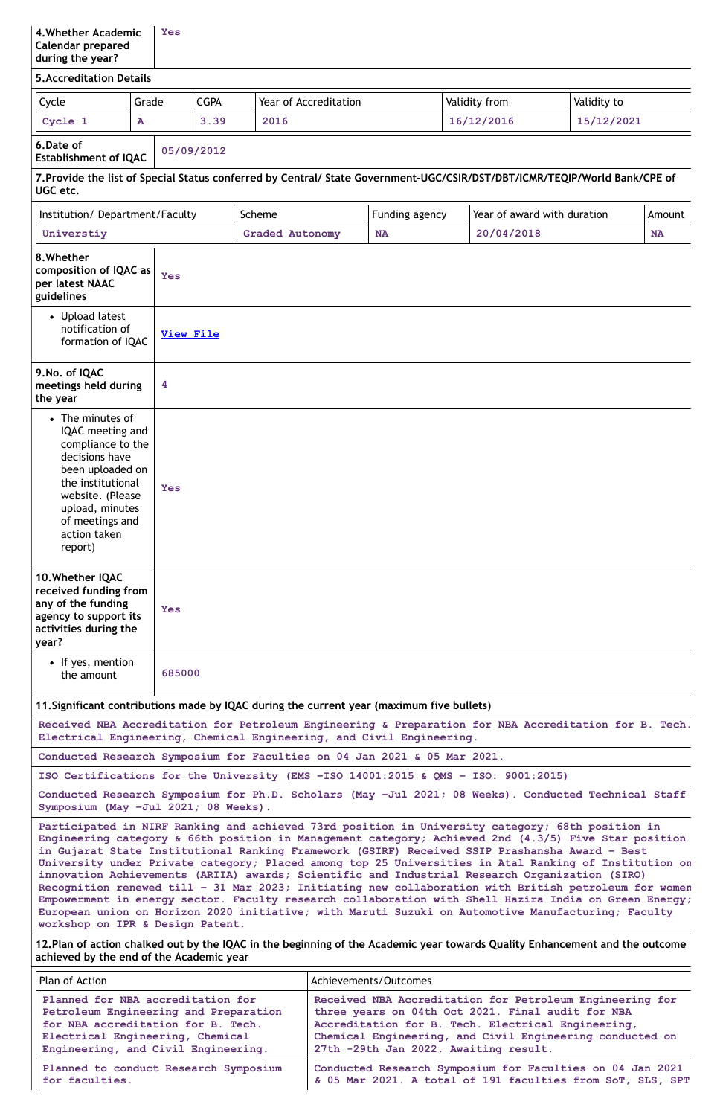# **5.Accreditation Details** Cycle Grade CGPA Year of Accreditation Validity from Validity to **Cycle 1 A 3.39 2016 16/12/2016 15/12/2021 6.Date of Establishment of IQAC 05/09/2012 7.Provide the list of Special Status conferred by Central/ State Government-UGC/CSIR/DST/DBT/ICMR/TEQIP/World Bank/CPE of UGC etc.** Institution/Department/Faculty Scheme  $\vert$  Scheme  $\vert$  Funding agency  $\vert$  Year of award with duration  $\vert$  Amount **Universtiy Graded Autonomy NA 20/04/2018 NA 8.Whether composition of IQAC as per latest NAAC guidelines Yes** Upload latest notification of formation of IQAC **[View](https://assessmentonline.naac.gov.in/storage/app/public/aqar/14363/14363_32_104.pdf?1649144299) File 9.No. of IQAC meetings held during the year 4** The minutes of IQAC meeting and compliance to the decisions have been uploaded on the institutional website. (Please upload, minutes of meetings and action taken report) **Yes 10.Whether IQAC received funding from any of the funding agency to support its activities during the year? Yes** • If yes, mention the amount **685000 11.Significant contributions made by IQAC during the current year (maximum five bullets) Received NBA Accreditation for Petroleum Engineering & Preparation for NBA Accreditation for B. Tech. Electrical Engineering, Chemical Engineering, and Civil Engineering. Conducted Research Symposium for Faculties on 04 Jan 2021 & 05 Mar 2021. ISO Certifications for the University (EMS –ISO 14001:2015 & QMS – ISO: 9001:2015) Conducted Research Symposium for Ph.D. Scholars (May –Jul 2021; 08 Weeks). Conducted Technical Staff**

12. Plan of action chalked out by the IQAC in the beginning of the Academic year towards Quality Enhancement and the outcome **achieved by the end of the Academic year**

**Symposium (May –Jul 2021; 08 Weeks).**

**Participated in NIRF Ranking and achieved 73rd position in University category; 68th position in Engineering category & 66th position in Management category; Achieved 2nd (4.3/5) Five Star position in Gujarat State Institutional Ranking Framework (GSIRF) Received SSIP Prashansha Award – Best University under Private category; Placed among top 25 Universities in Atal Ranking of Institution on innovation Achievements (ARIIA) awards; Scientific and Industrial Research Organization (SIRO) Recognition renewed till – 31 Mar 2023; Initiating new collaboration with British petroleum for women Empowerment in energy sector. Faculty research collaboration with Shell Hazira India on Green Energy; European union on Horizon 2020 initiative; with Maruti Suzuki on Automotive Manufacturing; Faculty workshop on IPR & Design Patent.**

| Plan of Action                        | Achievements/Outcomes                                      |
|---------------------------------------|------------------------------------------------------------|
| Planned for NBA accreditation for     | Received NBA Accreditation for Petroleum Engineering for   |
| Petroleum Engineering and Preparation | three years on 04th Oct 2021. Final audit for NBA          |
| for NBA accreditation for B. Tech.    | Accreditation for B. Tech. Electrical Engineering,         |
| Electrical Engineering, Chemical      | Chemical Engineering, and Civil Engineering conducted on   |
| Engineering, and Civil Engineering.   | 27th -29th Jan 2022. Awaiting result.                      |
| Planned to conduct Research Symposium | Conducted Research Symposium for Faculties on 04 Jan 2021  |
| for faculties.                        | & 05 Mar 2021. A total of 191 faculties from SoT, SLS, SPT |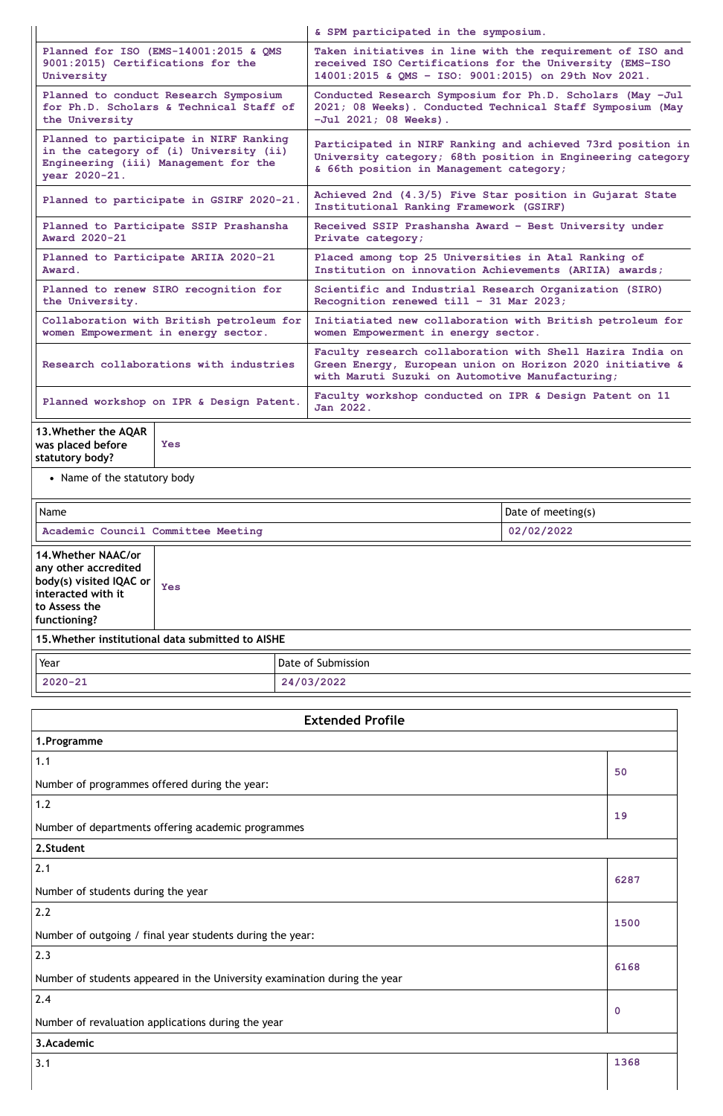|                                                                                                                                           | & SPM participated in the symposium.                                                                                                                                      |  |
|-------------------------------------------------------------------------------------------------------------------------------------------|---------------------------------------------------------------------------------------------------------------------------------------------------------------------------|--|
| Planned for ISO (EMS-14001:2015 & QMS                                                                                                     | Taken initiatives in line with the requirement of ISO and                                                                                                                 |  |
| 9001:2015) Certifications for the                                                                                                         | received ISO Certifications for the University (EMS-ISO                                                                                                                   |  |
| University                                                                                                                                | 14001:2015 & QMS - ISO: 9001:2015) on 29th Nov 2021.                                                                                                                      |  |
| Planned to conduct Research Symposium                                                                                                     | Conducted Research Symposium for Ph.D. Scholars (May -Jul                                                                                                                 |  |
| for Ph.D. Scholars & Technical Staff of                                                                                                   | 2021; 08 Weeks). Conducted Technical Staff Symposium (May                                                                                                                 |  |
| the University                                                                                                                            | $-Ju1 2021; 08 Weeks$ .                                                                                                                                                   |  |
| Planned to participate in NIRF Ranking<br>in the category of (i) University (ii)<br>Engineering (iii) Management for the<br>year 2020-21. | Participated in NIRF Ranking and achieved 73rd position in<br>University category; 68th position in Engineering category<br>& 66th position in Management category;       |  |
| Planned to participate in GSIRF 2020-21.                                                                                                  | Achieved 2nd (4.3/5) Five Star position in Gujarat State<br>Institutional Ranking Framework (GSIRF)                                                                       |  |
| Planned to Participate SSIP Prashansha                                                                                                    | Received SSIP Prashansha Award - Best University under                                                                                                                    |  |
| <b>Award 2020-21</b>                                                                                                                      | Private category;                                                                                                                                                         |  |
| Planned to Participate ARIIA 2020-21                                                                                                      | Placed among top 25 Universities in Atal Ranking of                                                                                                                       |  |
| Award.                                                                                                                                    | Institution on innovation Achievements (ARIIA) awards;                                                                                                                    |  |
| Planned to renew SIRO recognition for                                                                                                     | Scientific and Industrial Research Organization (SIRO)                                                                                                                    |  |
| the University.                                                                                                                           | Recognition renewed till - 31 Mar 2023;                                                                                                                                   |  |
| Collaboration with British petroleum for                                                                                                  | Initiatiated new collaboration with British petroleum for                                                                                                                 |  |
| women Empowerment in energy sector.                                                                                                       | women Empowerment in energy sector.                                                                                                                                       |  |
| Research collaborations with industries                                                                                                   | Faculty research collaboration with Shell Hazira India on<br>Green Energy, European union on Horizon 2020 initiative &<br>with Maruti Suzuki on Automotive Manufacturing; |  |
| Planned workshop on IPR & Design Patent.                                                                                                  | Faculty workshop conducted on IPR & Design Patent on 11<br>Jan 2022.                                                                                                      |  |
| 13. Whether the AQAR<br>was placed before<br><b>Yes</b>                                                                                   |                                                                                                                                                                           |  |

**statutory body?**

• Name of the statutory body

| Name                                                                                                                                 |                    |  | Date of meeting(s) |
|--------------------------------------------------------------------------------------------------------------------------------------|--------------------|--|--------------------|
| Academic Council Committee Meeting                                                                                                   |                    |  | 02/02/2022         |
| <b>14. Whether NAAC/or</b><br>any other accredited<br>body(s) visited IQAC or<br>interacted with it<br>to Assess the<br>functioning? | Yes                |  |                    |
| 15. Whether institutional data submitted to AISHE                                                                                    |                    |  |                    |
| Year                                                                                                                                 | Date of Submission |  |                    |
| 24/03/2022<br>$2020 - 21$                                                                                                            |                    |  |                    |

| <b>Extended Profile</b>                       |    |
|-----------------------------------------------|----|
| 1. Programme                                  |    |
| 1.1                                           | 50 |
| Number of programmes offered during the year: |    |
| 1.2                                           |    |

| Number of departments offering academic programmes                        |             |
|---------------------------------------------------------------------------|-------------|
| 2.Student                                                                 |             |
| 2.1                                                                       | 6287        |
| Number of students during the year                                        |             |
| 2.2                                                                       |             |
| Number of outgoing / final year students during the year:                 | 1500        |
| 2.3                                                                       | 6168        |
| Number of students appeared in the University examination during the year |             |
| 2.4                                                                       |             |
| Number of revaluation applications during the year                        | $\mathbf 0$ |
| 3.Academic                                                                |             |
| 3.1                                                                       | 1368        |
|                                                                           |             |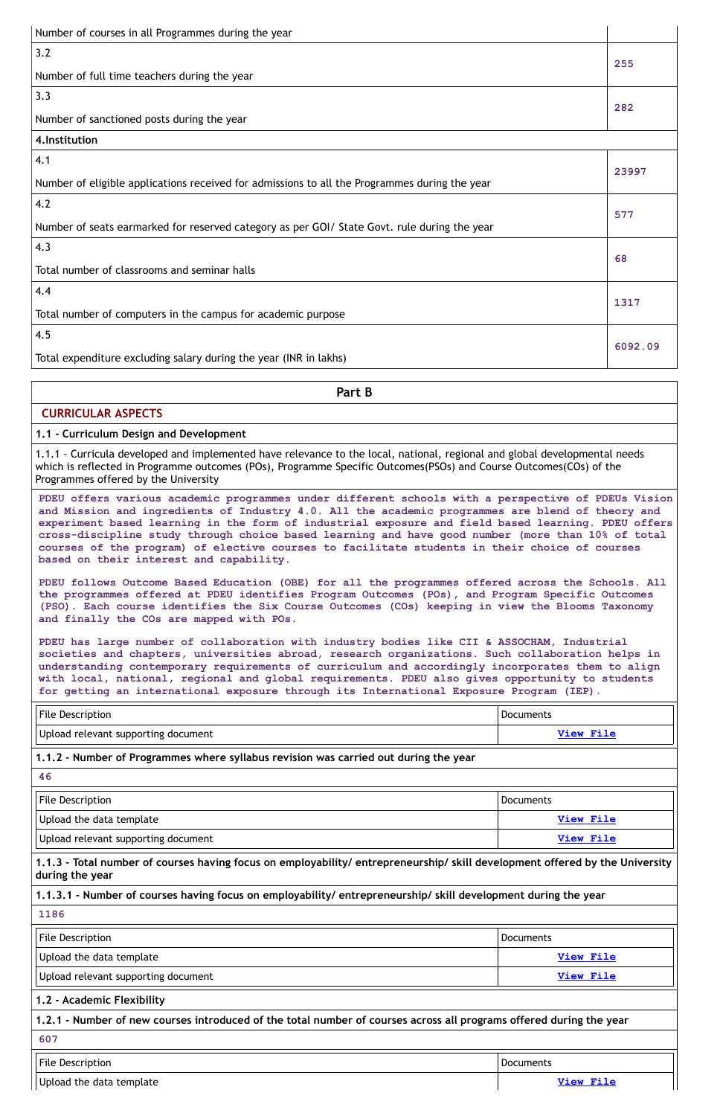| Number of courses in all Programmes during the year                                           |       |
|-----------------------------------------------------------------------------------------------|-------|
| 3.2                                                                                           |       |
| Number of full time teachers during the year                                                  | 255   |
| 3.3                                                                                           |       |
| Number of sanctioned posts during the year                                                    | 282   |
| 4. Institution                                                                                |       |
| 4.1                                                                                           |       |
| Number of eligible applications received for admissions to all the Programmes during the year | 23997 |
| 4.2                                                                                           |       |
| Number of seats earmarked for reserved category as per GOI/ State Govt. rule during the year  | 577   |
| 4.3                                                                                           |       |

| Total number of classrooms and seminar halls                      | 68      |
|-------------------------------------------------------------------|---------|
| 4.4                                                               | 1317    |
| Total number of computers in the campus for academic purpose      |         |
| 4.5                                                               |         |
| Total expenditure excluding salary during the year (INR in lakhs) | 6092.09 |

**Part B**

# **CURRICULAR ASPECTS**

### **1.1 - Curriculum Design and Development**

1.1.1 - Curricula developed and implemented have relevance to the local, national, regional and global developmental needs which is reflected in Programme outcomes (POs), Programme Specific Outcomes(PSOs) and Course Outcomes(COs) of the Programmes offered by the University

**PDEU offers various academic programmes under different schools with a perspective of PDEUs Vision and Mission and ingredients of Industry 4.0. All the academic programmes are blend of theory and experiment based learning in the form of industrial exposure and field based learning. PDEU offers cross-discipline study through choice based learning and have good number (more than 10% of total courses of the program) of elective courses to facilitate students in their choice of courses based on their interest and capability.**

| File Description                                                                            | Documents |  |
|---------------------------------------------------------------------------------------------|-----------|--|
| Upload relevant supporting document                                                         | View File |  |
| $\mid$ 1.1.2 - Number of Programmes where syllabus revision was carried out during the year |           |  |
| -46                                                                                         |           |  |

| <b>File Description</b>                                                                                                                         | Documents        |  |
|-------------------------------------------------------------------------------------------------------------------------------------------------|------------------|--|
| Upload the data template                                                                                                                        | <b>View File</b> |  |
| Upload relevant supporting document                                                                                                             | <b>View File</b> |  |
| 1.1.3 - Total number of courses having focus on employability/ entrepreneurship/ skill development offered by the University<br>during the year |                  |  |
| 1.1.3.1 - Number of courses having focus on employability/ entrepreneurship/ skill development during the year                                  |                  |  |
| 1186                                                                                                                                            |                  |  |
| File Description                                                                                                                                | <b>Documents</b> |  |
| Upload the data template                                                                                                                        | <b>View File</b> |  |
| Upload relevant supporting document                                                                                                             | <b>View File</b> |  |
| 1.2 - Academic Flexibility                                                                                                                      |                  |  |
| 1.2.1 - Number of new courses introduced of the total number of courses across all programs offered during the year                             |                  |  |
| 607                                                                                                                                             |                  |  |
| <b>File Description</b>                                                                                                                         | <b>Documents</b> |  |
| Upload the data template                                                                                                                        | <b>View File</b> |  |

**PDEU follows Outcome Based Education (OBE) for all the programmes offered across the Schools. All the programmes offered at PDEU identifies Program Outcomes (POs), and Program Specific Outcomes (PSO). Each course identifies the Six Course Outcomes (COs) keeping in view the Blooms Taxonomy and finally the COs are mapped with POs.**

**PDEU has large number of collaboration with industry bodies like CII & ASSOCHAM, Industrial societies and chapters, universities abroad, research organizations. Such collaboration helps in understanding contemporary requirements of curriculum and accordingly incorporates them to align with local, national, regional and global requirements. PDEU also gives opportunity to students for getting an international exposure through its International Exposure Program (IEP).**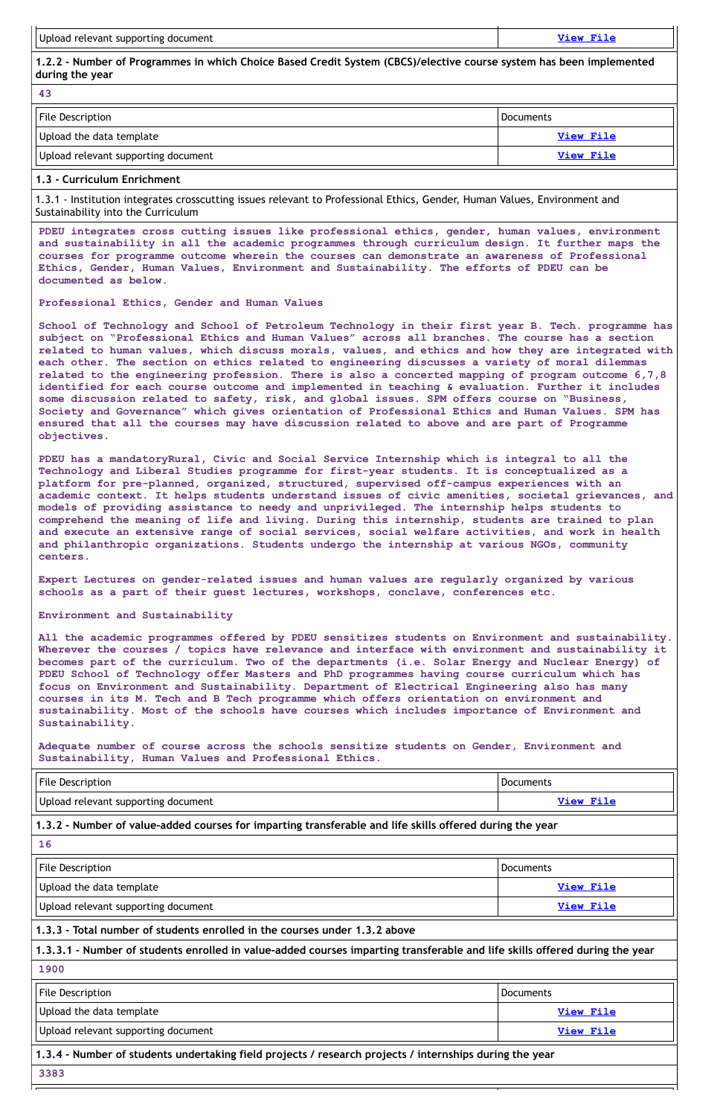1.2.2 - Number of Programmes in which Choice Based Credit System (CBCS)/elective course system has been implemented **during the year**

| <b>File Description</b>             | Documents |
|-------------------------------------|-----------|
| Upload the data template            | View File |
| Upload relevant supporting document | View File |

#### **43**

# **1.3 - Curriculum Enrichment**

1.3.1 - Institution integrates crosscutting issues relevant to Professional Ethics, Gender, Human Values, Environment and Sustainability into the Curriculum

**PDEU integrates cross cutting issues like professional ethics, gender, human values, environment and sustainability in all the academic programmes through curriculum design. It further maps the courses for programme outcome wherein the courses can demonstrate an awareness of Professional Ethics, Gender, Human Values, Environment and Sustainability. The efforts of PDEU can be documented as below.**

**Professional Ethics, Gender and Human Values**

**School of Technology and School of Petroleum Technology in their first year B. Tech. programme has subject on "Professional Ethics and Human Values" across all branches. The course has a section related to human values, which discuss morals, values, and ethics and how they are integrated with each other. The section on ethics related to engineering discusses a variety of moral dilemmas related to the engineering profession. There is also a concerted mapping of program outcome 6,7,8 identified for each course outcome and implemented in teaching & evaluation. Further it includes some discussion related to safety, risk, and global issues. SPM offers course on "Business, Society and Governance" which gives orientation of Professional Ethics and Human Values. SPM has ensured that all the courses may have discussion related to above and are part of Programme objectives.**

| <b>File Description</b>             | <b>Documents</b> |
|-------------------------------------|------------------|
| Upload relevant supporting document | View File        |

**PDEU has a mandatoryRural, Civic and Social Service Internship which is integral to all the Technology and Liberal Studies programme for first-year students. It is conceptualized as a platform for pre-planned, organized, structured, supervised off-campus experiences with an academic context. It helps students understand issues of civic amenities, societal grievances, and models of providing assistance to needy and unprivileged. The internship helps students to comprehend the meaning of life and living. During this internship, students are trained to plan and execute an extensive range of social services, social welfare activities, and work in health and philanthropic organizations. Students undergo the internship at various NGOs, community centers.**

**Expert Lectures on gender-related issues and human values are regularly organized by various schools as a part of their guest lectures, workshops, conclave, conferences etc.**

#### **Environment and Sustainability**

**All the academic programmes offered by PDEU sensitizes students on Environment and sustainability. Wherever the courses / topics have relevance and interface with environment and sustainability it becomes part of the curriculum. Two of the departments (i.e. Solar Energy and Nuclear Energy) of PDEU School of Technology offer Masters and PhD programmes having course curriculum which has focus on Environment and Sustainability. Department of Electrical Engineering also has many courses in its M. Tech and B Tech programme which offers orientation on environment and sustainability. Most of the schools have courses which includes importance of Environment and Sustainability.**

**Adequate number of course across the schools sensitize students on Gender, Environment and Sustainability, Human Values and Professional Ethics.**

# **1.3.2 - Number of value-added courses for imparting transferable and life skills offered during the year**

#### **16**

| <b>File Description</b>                                                                                                     | <b>Documents</b> |  |
|-----------------------------------------------------------------------------------------------------------------------------|------------------|--|
| Upload the data template                                                                                                    | <b>View File</b> |  |
| Upload relevant supporting document                                                                                         | <b>View File</b> |  |
| 1.3.3 - Total number of students enrolled in the courses under 1.3.2 above                                                  |                  |  |
| 1.3.3.1 - Number of students enrolled in value-added courses imparting transferable and life skills offered during the year |                  |  |
| 1900                                                                                                                        |                  |  |
| <b>File Description</b>                                                                                                     | <b>Documents</b> |  |
| Upload the data template                                                                                                    | <b>View File</b> |  |
| Upload relevant supporting document                                                                                         | <b>View File</b> |  |
| 1.3.4 - Number of students undertaking field projects / research projects / internships during the year                     |                  |  |
| 3383                                                                                                                        |                  |  |
|                                                                                                                             |                  |  |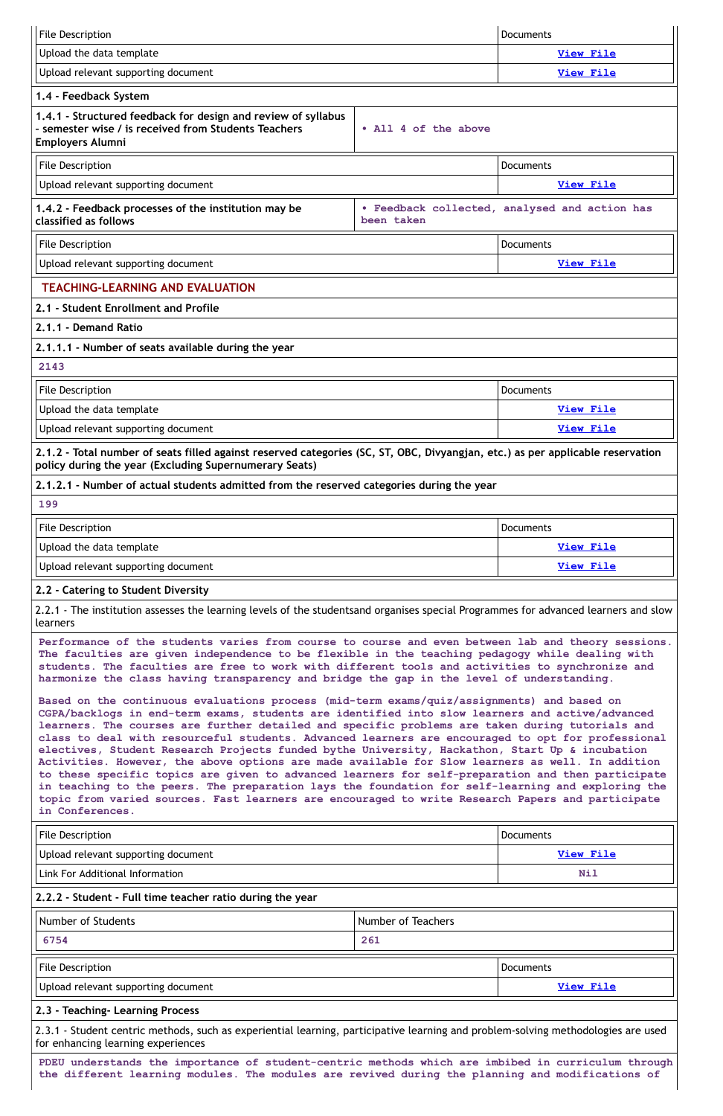| <b>File Description</b>                                                                                                                                                                                                                                                                                                                                                                                                                                                                                                                                                                                                                                                                                          |                      | <b>Documents</b>                              |
|------------------------------------------------------------------------------------------------------------------------------------------------------------------------------------------------------------------------------------------------------------------------------------------------------------------------------------------------------------------------------------------------------------------------------------------------------------------------------------------------------------------------------------------------------------------------------------------------------------------------------------------------------------------------------------------------------------------|----------------------|-----------------------------------------------|
| Upload the data template                                                                                                                                                                                                                                                                                                                                                                                                                                                                                                                                                                                                                                                                                         |                      | <b>View File</b>                              |
| Upload relevant supporting document                                                                                                                                                                                                                                                                                                                                                                                                                                                                                                                                                                                                                                                                              |                      | <b>View File</b>                              |
| 1.4 - Feedback System                                                                                                                                                                                                                                                                                                                                                                                                                                                                                                                                                                                                                                                                                            |                      |                                               |
| 1.4.1 - Structured feedback for design and review of syllabus<br>- semester wise / is received from Students Teachers<br><b>Employers Alumni</b>                                                                                                                                                                                                                                                                                                                                                                                                                                                                                                                                                                 | • All 4 of the above |                                               |
| <b>File Description</b>                                                                                                                                                                                                                                                                                                                                                                                                                                                                                                                                                                                                                                                                                          |                      | <b>Documents</b>                              |
| Upload relevant supporting document                                                                                                                                                                                                                                                                                                                                                                                                                                                                                                                                                                                                                                                                              |                      | <b>View File</b>                              |
| 1.4.2 - Feedback processes of the institution may be<br>classified as follows                                                                                                                                                                                                                                                                                                                                                                                                                                                                                                                                                                                                                                    | been taken           | . Feedback collected, analysed and action has |
| <b>File Description</b>                                                                                                                                                                                                                                                                                                                                                                                                                                                                                                                                                                                                                                                                                          |                      | <b>Documents</b>                              |
| Upload relevant supporting document                                                                                                                                                                                                                                                                                                                                                                                                                                                                                                                                                                                                                                                                              |                      | <b>View File</b>                              |
| <b>TEACHING-LEARNING AND EVALUATION</b>                                                                                                                                                                                                                                                                                                                                                                                                                                                                                                                                                                                                                                                                          |                      |                                               |
| 2.1 - Student Enrollment and Profile                                                                                                                                                                                                                                                                                                                                                                                                                                                                                                                                                                                                                                                                             |                      |                                               |
| 2.1.1 - Demand Ratio                                                                                                                                                                                                                                                                                                                                                                                                                                                                                                                                                                                                                                                                                             |                      |                                               |
| 2.1.1.1 - Number of seats available during the year                                                                                                                                                                                                                                                                                                                                                                                                                                                                                                                                                                                                                                                              |                      |                                               |
| 2143                                                                                                                                                                                                                                                                                                                                                                                                                                                                                                                                                                                                                                                                                                             |                      |                                               |
| File Description                                                                                                                                                                                                                                                                                                                                                                                                                                                                                                                                                                                                                                                                                                 |                      | Documents                                     |
| Upload the data template                                                                                                                                                                                                                                                                                                                                                                                                                                                                                                                                                                                                                                                                                         |                      | <b>View File</b>                              |
| Upload relevant supporting document                                                                                                                                                                                                                                                                                                                                                                                                                                                                                                                                                                                                                                                                              |                      | View File                                     |
| 2.1.2 - Total number of seats filled against reserved categories (SC, ST, OBC, Divyangjan, etc.) as per applicable reservation<br>policy during the year (Excluding Supernumerary Seats)                                                                                                                                                                                                                                                                                                                                                                                                                                                                                                                         |                      |                                               |
| 2.1.2.1 - Number of actual students admitted from the reserved categories during the year                                                                                                                                                                                                                                                                                                                                                                                                                                                                                                                                                                                                                        |                      |                                               |
| 199                                                                                                                                                                                                                                                                                                                                                                                                                                                                                                                                                                                                                                                                                                              |                      |                                               |
| <b>File Description</b>                                                                                                                                                                                                                                                                                                                                                                                                                                                                                                                                                                                                                                                                                          |                      | <b>Documents</b>                              |
| Upload the data template                                                                                                                                                                                                                                                                                                                                                                                                                                                                                                                                                                                                                                                                                         |                      | <b>View File</b>                              |
| Upload relevant supporting document                                                                                                                                                                                                                                                                                                                                                                                                                                                                                                                                                                                                                                                                              |                      | <b>View File</b>                              |
| 2.2 - Catering to Student Diversity                                                                                                                                                                                                                                                                                                                                                                                                                                                                                                                                                                                                                                                                              |                      |                                               |
| 2.2.1 - The institution assesses the learning levels of the studentsand organises special Programmes for advanced learners and slow<br>learners                                                                                                                                                                                                                                                                                                                                                                                                                                                                                                                                                                  |                      |                                               |
| Performance of the students varies from course to course and even between lab and theory sessions.<br>The faculties are given independence to be flexible in the teaching pedagogy while dealing with<br>students. The faculties are free to work with different tools and activities to synchronize and<br>harmonize the class having transparency and bridge the gap in the level of understanding.                                                                                                                                                                                                                                                                                                            |                      |                                               |
| Based on the continuous evaluations process (mid-term exams/quiz/assignments) and based on<br>CGPA/backlogs in end-term exams, students are identified into slow learners and active/advanced<br>learners. The courses are further detailed and specific problems are taken during tutorials and<br>class to deal with resourceful students. Advanced learners are encouraged to opt for professional<br>electives, Student Research Projects funded bythe University, Hackathon, Start Up & incubation<br>Activities. However, the above options are made available for Slow learners as well. In addition<br>to these specific topics are given to advanced learners for self-preparation and then participate |                      |                                               |

| <b>File Description</b>                                                                                                                                                                                |     | <b>Documents</b> |
|--------------------------------------------------------------------------------------------------------------------------------------------------------------------------------------------------------|-----|------------------|
| Upload relevant supporting document                                                                                                                                                                    |     | <b>View File</b> |
| Link For Additional Information                                                                                                                                                                        |     | <b>Nil</b>       |
| 2.2.2 - Student - Full time teacher ratio during the year                                                                                                                                              |     |                  |
| Number of Students<br>Number of Teachers                                                                                                                                                               |     |                  |
| 6754                                                                                                                                                                                                   | 261 |                  |
| <b>File Description</b><br><b>Documents</b>                                                                                                                                                            |     |                  |
| Upload relevant supporting document                                                                                                                                                                    |     | <b>View File</b> |
| 2.3 - Teaching- Learning Process                                                                                                                                                                       |     |                  |
| 2.3.1 - Student centric methods, such as experiential learning, participative learning and problem-solving methodologies are used<br>for enhancing learning experiences                                |     |                  |
| PDEU understands the importance of student-centric methods which are imbibed in curriculum through<br>the different learning modules. The modules are revived during the planning and modifications of |     |                  |

**in teaching to the peers. The preparation lays the foundation for self-learning and exploring the topic from varied sources. Fast learners are encouraged to write Research Papers and participate in Conferences.**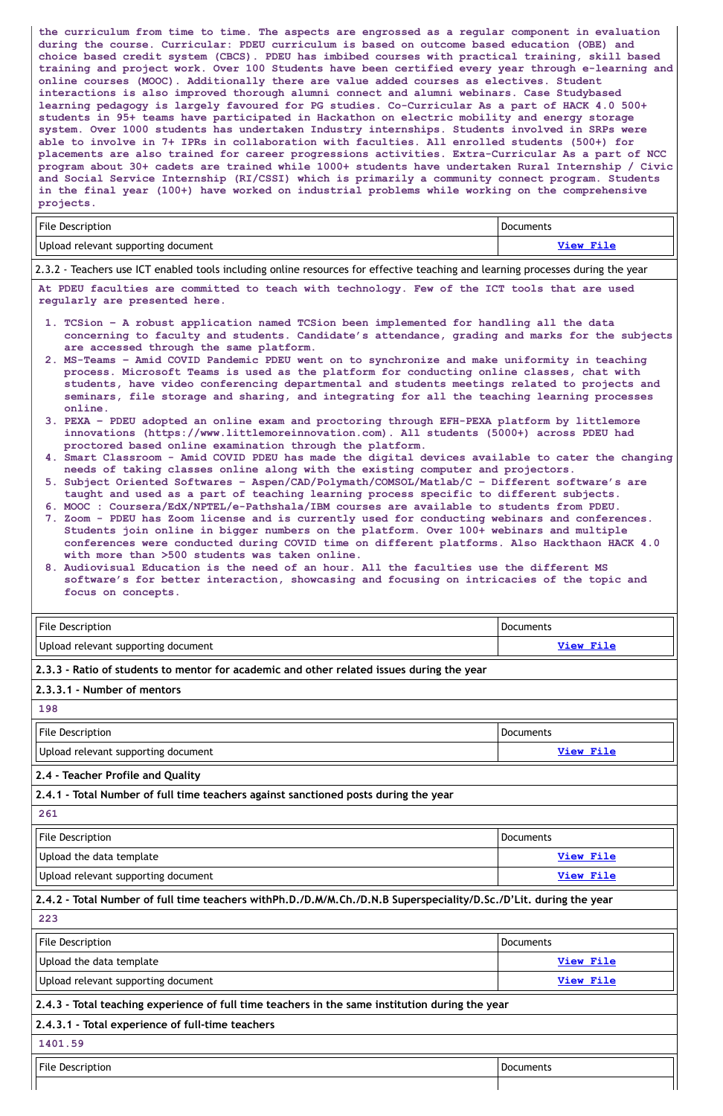**the curriculum from time to time. The aspects are engrossed as a regular component in evaluation during the course. Curricular: PDEU curriculum is based on outcome based education (OBE) and choice based credit system (CBCS). PDEU has imbibed courses with practical training, skill based training and project work. Over 100 Students have been certified every year through e-learning and online courses (MOOC). Additionally there are value added courses as electives. Student interactions is also improved thorough alumni connect and alumni webinars. Case Studybased learning pedagogy is largely favoured for PG studies. Co-Curricular As a part of HACK 4.0 500+ students in 95+ teams have participated in Hackathon on electric mobility and energy storage system. Over 1000 students has undertaken Industry internships. Students involved in SRPs were able to involve in 7+ IPRs in collaboration with faculties. All enrolled students (500+) for placements are also trained for career progressions activities. Extra-Curricular As a part of NCC program about 30+ cadets are trained while 1000+ students have undertaken Rural Internship / Civic and Social Service Internship (RI/CSSI) which is primarily a community connect program. Students in the final year (100+) have worked on industrial problems while working on the comprehensive projects.**

| File Description                         | Documents |
|------------------------------------------|-----------|
| $_1$ Upload relevant supporting document | View File |

2.3.2 - Teachers use ICT enabled tools including online resources for effective teaching and learning processes during the year

**At PDEU faculties are committed to teach with technology. Few of the ICT tools that are used regularly are presented here.**

| <b>File Description</b>                                                                   | Documents        |  |
|-------------------------------------------------------------------------------------------|------------------|--|
| Upload relevant supporting document                                                       | <b>View File</b> |  |
| 2.3.3 - Ratio of students to mentor for academic and other related issues during the year |                  |  |
| 2.3.3.1 - Number of mentors                                                               |                  |  |
| 198                                                                                       |                  |  |
|                                                                                           |                  |  |
| <b>File Description</b>                                                                   | Documents        |  |
| Upload relevant supporting document                                                       | <b>View File</b> |  |
| 2.4 - Teacher Profile and Quality                                                         |                  |  |
| 2.4.1 - Total Number of full time teachers against sanctioned posts during the year       |                  |  |

| <b>File Description</b>                                                                                           | <b>Documents</b> |  |
|-------------------------------------------------------------------------------------------------------------------|------------------|--|
| Upload the data template                                                                                          | <b>View File</b> |  |
| Upload relevant supporting document                                                                               | <b>View File</b> |  |
| 2.4.2 - Total Number of full time teachers withPh.D./D.M/M.Ch./D.N.B Superspeciality/D.Sc./D'Lit. during the year |                  |  |
| 223                                                                                                               |                  |  |
| <b>File Description</b>                                                                                           | <b>Documents</b> |  |
| Upload the data template                                                                                          | <b>View File</b> |  |
| Upload relevant supporting document                                                                               | <b>View File</b> |  |
| 2.4.3 - Total teaching experience of full time teachers in the same institution during the year                   |                  |  |
| 2.4.3.1 - Total experience of full-time teachers                                                                  |                  |  |
| 1401.59                                                                                                           |                  |  |
| File Description                                                                                                  | <b>Documents</b> |  |
|                                                                                                                   |                  |  |

- **1. TCSion – A robust application named TCSion been implemented for handling all the data concerning to faculty and students. Candidate's attendance, grading and marks for the subjects are accessed through the same platform.**
- **2. MS-Teams – Amid COVID Pandemic PDEU went on to synchronize and make uniformity in teaching process. Microsoft Teams is used as the platform for conducting online classes, chat with students, have video conferencing departmental and students meetings related to projects and seminars, file storage and sharing, and integrating for all the teaching learning processes online.**
- **3. PEXA – PDEU adopted an online exam and proctoring through EFH-PEXA platform by littlemore innovations (https://www.littlemoreinnovation.com). All students (5000+) across PDEU had proctored based online examination through the platform.**
- **4. Smart Classroom - Amid COVID PDEU has made the digital devices available to cater the changing needs of taking classes online along with the existing computer and projectors.**
- **5. Subject Oriented Softwares – Aspen/CAD/Polymath/COMSOL/Matlab/C – Different software's are taught and used as a part of teaching learning process specific to different subjects.**
- **6. MOOC : Coursera/EdX/NPTEL/e-Pathshala/IBM courses are available to students from PDEU.**
- **7. Zoom - PDEU has Zoom license and is currently used for conducting webinars and conferences. Students join online in bigger numbers on the platform. Over 100+ webinars and multiple conferences were conducted during COVID time on different platforms. Also Hackthaon HACK 4.0 with more than >500 students was taken online.**
- **8. Audiovisual Education is the need of an hour. All the faculties use the different MS software's for better interaction, showcasing and focusing on intricacies of the topic and focus on concepts.**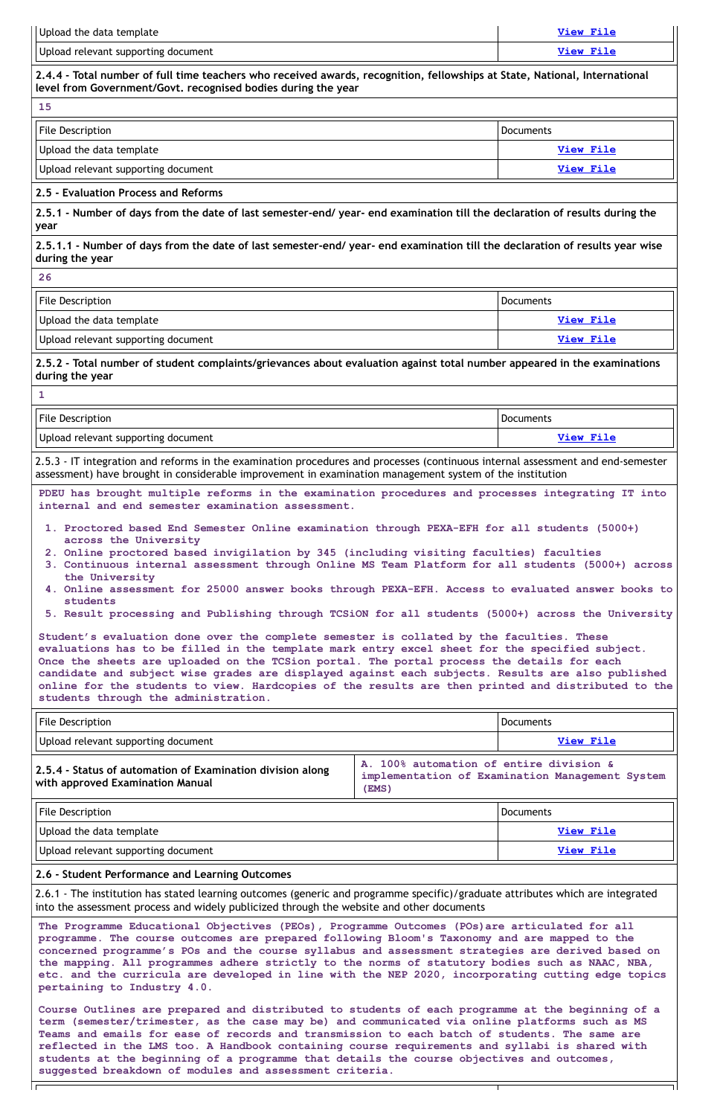| Upload the data template                                                                                                                                                                                                                                                                                                                                                                                                                                                                                                                    |                                                  | <b>View File</b>                                |
|---------------------------------------------------------------------------------------------------------------------------------------------------------------------------------------------------------------------------------------------------------------------------------------------------------------------------------------------------------------------------------------------------------------------------------------------------------------------------------------------------------------------------------------------|--------------------------------------------------|-------------------------------------------------|
| Upload relevant supporting document                                                                                                                                                                                                                                                                                                                                                                                                                                                                                                         |                                                  | <b>View File</b>                                |
| 2.4.4 - Total number of full time teachers who received awards, recognition, fellowships at State, National, International<br>level from Government/Govt. recognised bodies during the year                                                                                                                                                                                                                                                                                                                                                 |                                                  |                                                 |
| 15                                                                                                                                                                                                                                                                                                                                                                                                                                                                                                                                          |                                                  |                                                 |
| <b>File Description</b>                                                                                                                                                                                                                                                                                                                                                                                                                                                                                                                     |                                                  | <b>Documents</b>                                |
| Upload the data template                                                                                                                                                                                                                                                                                                                                                                                                                                                                                                                    |                                                  | View File                                       |
| Upload relevant supporting document                                                                                                                                                                                                                                                                                                                                                                                                                                                                                                         |                                                  | <b>View File</b>                                |
| 2.5 - Evaluation Process and Reforms                                                                                                                                                                                                                                                                                                                                                                                                                                                                                                        |                                                  |                                                 |
| 2.5.1 - Number of days from the date of last semester-end/ year- end examination till the declaration of results during the<br>year                                                                                                                                                                                                                                                                                                                                                                                                         |                                                  |                                                 |
| 2.5.1.1 - Number of days from the date of last semester-end/ year- end examination till the declaration of results year wise<br>during the year                                                                                                                                                                                                                                                                                                                                                                                             |                                                  |                                                 |
| 26                                                                                                                                                                                                                                                                                                                                                                                                                                                                                                                                          |                                                  |                                                 |
| <b>File Description</b>                                                                                                                                                                                                                                                                                                                                                                                                                                                                                                                     |                                                  | <b>Documents</b>                                |
| Upload the data template                                                                                                                                                                                                                                                                                                                                                                                                                                                                                                                    |                                                  | <b>View File</b>                                |
| Upload relevant supporting document                                                                                                                                                                                                                                                                                                                                                                                                                                                                                                         |                                                  | <b>View File</b>                                |
| 2.5.2 - Total number of student complaints/grievances about evaluation against total number appeared in the examinations<br>during the year                                                                                                                                                                                                                                                                                                                                                                                                 |                                                  |                                                 |
| $\mathbf{1}$                                                                                                                                                                                                                                                                                                                                                                                                                                                                                                                                |                                                  |                                                 |
| <b>File Description</b>                                                                                                                                                                                                                                                                                                                                                                                                                                                                                                                     |                                                  | Documents                                       |
| Upload relevant supporting document                                                                                                                                                                                                                                                                                                                                                                                                                                                                                                         |                                                  | <b>View File</b>                                |
| 2.5.3 - IT integration and reforms in the examination procedures and processes (continuous internal assessment and end-semester<br>assessment) have brought in considerable improvement in examination management system of the institution                                                                                                                                                                                                                                                                                                 |                                                  |                                                 |
| PDEU has brought multiple reforms in the examination procedures and processes integrating IT into<br>internal and end semester examination assessment.                                                                                                                                                                                                                                                                                                                                                                                      |                                                  |                                                 |
| 1. Proctored based End Semester Online examination through PEXA-EFH for all students (5000+)<br>across the University                                                                                                                                                                                                                                                                                                                                                                                                                       |                                                  |                                                 |
| 2. Online proctored based invigilation by 345 (including visiting faculties) faculties<br>3. Continuous internal assessment through Online MS Team Platform for all students (5000+) across<br>the University                                                                                                                                                                                                                                                                                                                               |                                                  |                                                 |
| 4. Online assessment for 25000 answer books through PEXA-EFH. Access to evaluated answer books to<br>students<br>5. Result processing and Publishing through TCSiON for all students (5000+) across the University                                                                                                                                                                                                                                                                                                                          |                                                  |                                                 |
|                                                                                                                                                                                                                                                                                                                                                                                                                                                                                                                                             |                                                  |                                                 |
| Student's evaluation done over the complete semester is collated by the faculties. These<br>evaluations has to be filled in the template mark entry excel sheet for the specified subject.<br>Once the sheets are uploaded on the TCSion portal. The portal process the details for each<br>candidate and subject wise grades are displayed against each subjects. Results are also published<br>online for the students to view. Hardcopies of the results are then printed and distributed to the<br>students through the administration. |                                                  |                                                 |
| <b>File Description</b>                                                                                                                                                                                                                                                                                                                                                                                                                                                                                                                     |                                                  | <b>Documents</b>                                |
| Upload relevant supporting document                                                                                                                                                                                                                                                                                                                                                                                                                                                                                                         |                                                  | <b>View File</b>                                |
| 2.5.4 - Status of automation of Examination division along<br>with approved Examination Manual                                                                                                                                                                                                                                                                                                                                                                                                                                              | A. 100% automation of entire division &<br>(EMS) | implementation of Examination Management System |

| <b>File Description</b> | Documents |
|-------------------------|-----------|
|-------------------------|-----------|

Ιı

| Upload the data template            | $V_i \sim W$ File |
|-------------------------------------|-------------------|
| Upload relevant supporting document | View File         |

#### **2.6 - Student Performance and Learning Outcomes**

2.6.1 - The institution has stated learning outcomes (generic and programme specific)/graduate attributes which are integrated into the assessment process and widely publicized through the website and other documents

**The Programme Educational Objectives (PEOs), Programme Outcomes (POs)are articulated for all programme. The course outcomes are prepared following Bloom's Taxonomy and are mapped to the concerned programme's POs and the course syllabus and assessment strategies are derived based on the mapping. All programmes adhere strictly to the norms of statutory bodies such as NAAC, NBA, etc. and the curricula are developed in line with the NEP 2020, incorporating cutting edge topics pertaining to Industry 4.0.**

**Course Outlines are prepared and distributed to students of each programme at the beginning of a term (semester/trimester, as the case may be) and communicated via online platforms such as MS Teams and emails for ease of records and transmission to each batch of students. The same are reflected in the LMS too. A Handbook containing course requirements and syllabi is shared with students at the beginning of a programme that details the course objectives and outcomes, suggested breakdown of modules and assessment criteria.**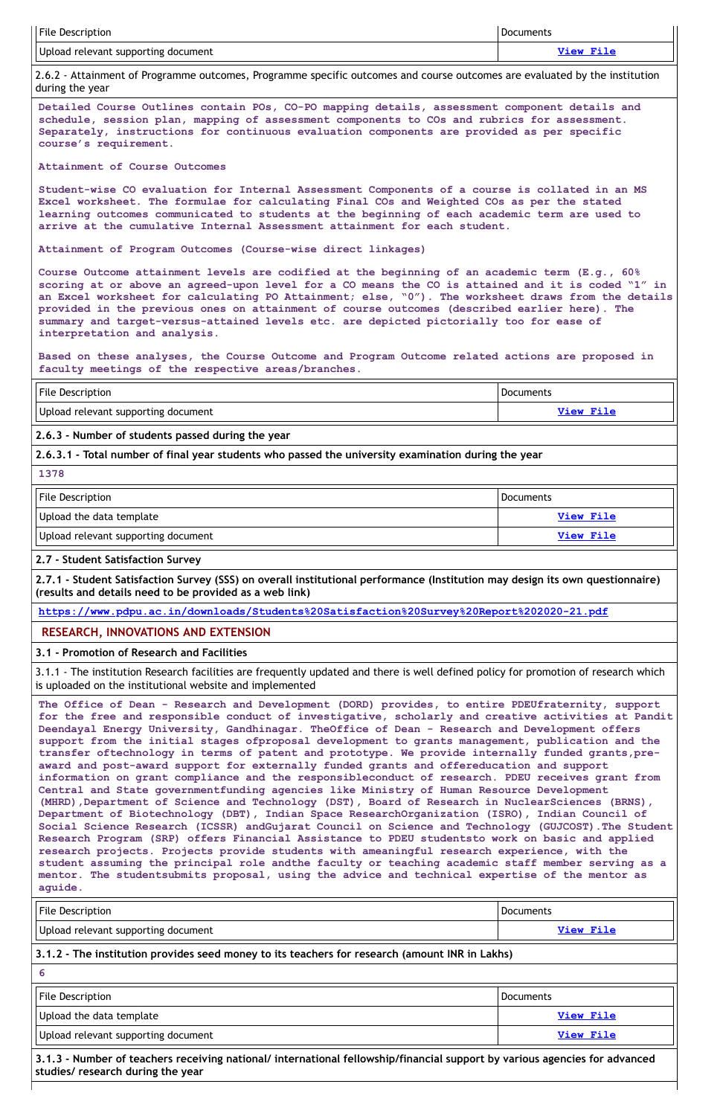| <b>File Description</b>             | <b>Documents</b> |
|-------------------------------------|------------------|
| Upload relevant supporting document | <b>View File</b> |

2.6.2 - Attainment of Programme outcomes, Programme specific outcomes and course outcomes are evaluated by the institution during the year

**Detailed Course Outlines contain POs, CO-PO mapping details, assessment component details and schedule, session plan, mapping of assessment components to COs and rubrics for assessment. Separately, instructions for continuous evaluation components are provided as per specific course's requirement.**

**Attainment of Course Outcomes**

**Student-wise CO evaluation for Internal Assessment Components of a course is collated in an MS Excel worksheet. The formulae for calculating Final COs and Weighted COs as per the stated learning outcomes communicated to students at the beginning of each academic term are used to arrive at the cumulative Internal Assessment attainment for each student.**

**Attainment of Program Outcomes (Course-wise direct linkages)**

File Description **Documents** and Documents **Documents** and Documents **Documents** Upload the data template **[View](https://assessmentonline.naac.gov.in/storage/app/public/aqar/14363/14363_335_773.xlsx?1649144299) File** Upload relevant supporting document **[View](https://assessmentonline.naac.gov.in/storage/app/public/aqar/14363/14363_335_774.pdf?1649144299) File**

2.7.1 - Student Satisfaction Survey (SSS) on overall institutional performance (Institution may design its own questionnaire) **(results and details need to be provided as a web link)**

**Course Outcome attainment levels are codified at the beginning of an academic term (E.g., 60%** scoring at or above an agreed-upon level for a CO means the CO is attained and it is coded "1" in **an Excel worksheet for calculating PO Attainment; else, "0"). The worksheet draws from the details provided in the previous ones on attainment of course outcomes (described earlier here). The summary and target-versus-attained levels etc. are depicted pictorially too for ease of interpretation and analysis.**

**Based on these analyses, the Course Outcome and Program Outcome related actions are proposed in faculty meetings of the respective areas/branches.**

| File Description                    | Documents |
|-------------------------------------|-----------|
| Upload relevant supporting document | View File |

**2.6.3 - Number of students passed during the year**

**2.6.3.1 - Total number of final year students who passed the university examination during the year**

**1378**

**2.7 - Student Satisfaction Survey**

| <b>File Description</b>                                                                                | <b>Documents</b> |  |
|--------------------------------------------------------------------------------------------------------|------------------|--|
| Upload relevant supporting document                                                                    | View File        |  |
| $\vert$ 3.1.2 - The institution provides seed money to its teachers for research (amount INR in Lakhs) |                  |  |
| 6                                                                                                      |                  |  |
| File Description                                                                                       | <b>Documents</b> |  |
| Upload the data template                                                                               | <b>View File</b> |  |
| Upload relevant supporting document                                                                    | <b>View File</b> |  |

**<https://www.pdpu.ac.in/downloads/Students%20Satisfaction%20Survey%20Report%202020-21.pdf>**

# **RESEARCH, INNOVATIONS AND EXTENSION**

**3.1 - Promotion of Research and Facilities**

3.1.1 - The institution Research facilities are frequently updated and there is well defined policy for promotion of research which is uploaded on the institutional website and implemented

**The Office of Dean - Research and Development (DORD) provides, to entire PDEUfraternity, support for the free and responsible conduct of investigative, scholarly and creative activities at Pandit Deendayal Energy University, Gandhinagar. TheOffice of Dean - Research and Development offers support from the initial stages ofproposal development to grants management, publication and the transfer oftechnology in terms of patent and prototype. We provide internally funded grants,preaward and post-award support for externally funded grants and offereducation and support information on grant compliance and the responsibleconduct of research. PDEU receives grant from Central and State governmentfunding agencies like Ministry of Human Resource Development (MHRD),Department of Science and Technology (DST), Board of Research in NuclearSciences (BRNS), Department of Biotechnology (DBT), Indian Space ResearchOrganization (ISRO), Indian Council of Social Science Research (ICSSR) andGujarat Council on Science and Technology (GUJCOST).The Student Research Program (SRP) offers Financial Assistance to PDEU studentsto work on basic and applied research projects. Projects provide students with ameaningful research experience, with the student assuming the principal role andthe faculty or teaching academic staff member serving as a mentor. The studentsubmits proposal, using the advice and technical expertise of the mentor as aguide.**

**3.1.3 - Number of teachers receiving national/ international fellowship/financial support by various agencies for advanced studies/ research during the year**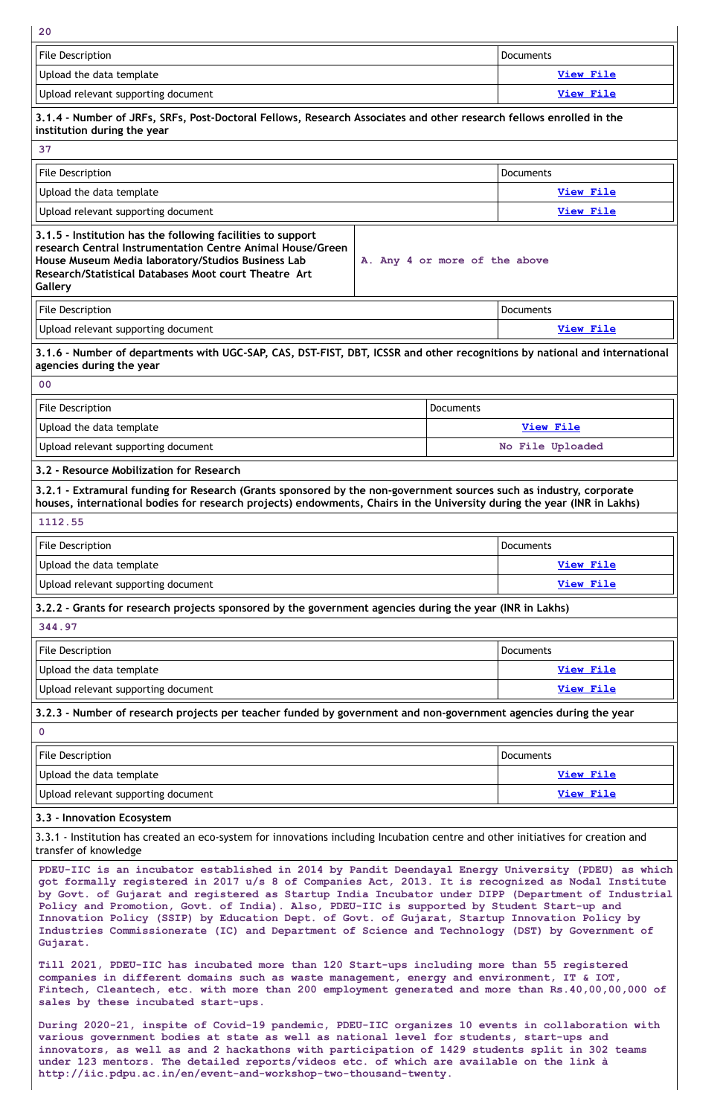**20**

| <b>File Description</b>                                                                                                                                                                                                                             | Documents                     |
|-----------------------------------------------------------------------------------------------------------------------------------------------------------------------------------------------------------------------------------------------------|-------------------------------|
| Upload the data template                                                                                                                                                                                                                            | <b>View File</b>              |
| Upload relevant supporting document                                                                                                                                                                                                                 | <b>View File</b>              |
| 3.1.4 - Number of JRFs, SRFs, Post-Doctoral Fellows, Research Associates and other research fellows enrolled in the<br>institution during the year                                                                                                  |                               |
| 37                                                                                                                                                                                                                                                  |                               |
| <b>File Description</b>                                                                                                                                                                                                                             | Documents                     |
| Upload the data template                                                                                                                                                                                                                            | <b>View File</b>              |
| Upload relevant supporting document                                                                                                                                                                                                                 | <b>View File</b>              |
| 3.1.5 - Institution has the following facilities to support<br>research Central Instrumentation Centre Animal House/Green<br>House Museum Media laboratory/Studios Business Lab<br>Research/Statistical Databases Moot court Theatre Art<br>Gallery | A. Any 4 or more of the above |
| <b>File Description</b>                                                                                                                                                                                                                             | <b>Documents</b>              |
| Upload relevant supporting document                                                                                                                                                                                                                 | View File                     |
| 3.1.6 - Number of departments with UGC-SAP, CAS, DST-FIST, DBT, ICSSR and other recognitions by national and international<br>agencies during the year                                                                                              |                               |
| 0 <sup>0</sup>                                                                                                                                                                                                                                      |                               |
| <b>File Description</b>                                                                                                                                                                                                                             | Documents                     |
| Upload the data template                                                                                                                                                                                                                            | <b>View File</b>              |
| Upload relevant supporting document                                                                                                                                                                                                                 | No File Uploaded              |
| 3.2 - Resource Mobilization for Research                                                                                                                                                                                                            |                               |
| 3.2.1 - Extramural funding for Research (Grants sponsored by the non-government sources such as industry, corporate<br>houses, international bodies for research projects) endowments, Chairs in the University during the year (INR in Lakhs)      |                               |
| 1112.55                                                                                                                                                                                                                                             |                               |
| <b>File Description</b>                                                                                                                                                                                                                             | <b>Documents</b>              |
| Upload the data template                                                                                                                                                                                                                            | <b>View File</b>              |
| Upload relevant supporting document                                                                                                                                                                                                                 | <b>View File</b>              |
| 3.2.2 - Grants for research projects sponsored by the government agencies during the year (INR in Lakhs)                                                                                                                                            |                               |
| 344.97                                                                                                                                                                                                                                              |                               |
| <b>File Description</b>                                                                                                                                                                                                                             | <b>Documents</b>              |
| Upload the data template                                                                                                                                                                                                                            | <b>View File</b>              |
| Upload relevant supporting document                                                                                                                                                                                                                 | <b>View File</b>              |
| 3.2.3 - Number of research projects per teacher funded by government and non-government agencies during the year                                                                                                                                    |                               |
| $\mathbf 0$                                                                                                                                                                                                                                         |                               |
| <b>File Description</b>                                                                                                                                                                                                                             | Documents                     |
| Upload the data template                                                                                                                                                                                                                            | View File                     |
| Upload relevant supporting document                                                                                                                                                                                                                 | <b>View File</b>              |

**3.3 - Innovation Ecosystem**

3.3.1 - Institution has created an eco-system for innovations including Incubation centre and other initiatives for creation and transfer of knowledge

**PDEU-IIC is an incubator established in 2014 by Pandit Deendayal Energy University (PDEU) as which got formally registered in 2017 u/s 8 of Companies Act, 2013. It is recognized as Nodal Institute by Govt. of Gujarat and registered as Startup India Incubator under DIPP (Department of Industrial Policy and Promotion, Govt. of India). Also, PDEU-IIC is supported by Student Start-up and Innovation Policy (SSIP) by Education Dept. of Govt. of Gujarat, Startup Innovation Policy by Industries Commissionerate (IC) and Department of Science and Technology (DST) by Government of Gujarat.**

**Till 2021, PDEU-IIC has incubated more than 120 Start-ups including more than 55 registered companies in different domains such as waste management, energy and environment, IT & IOT, Fintech, Cleantech, etc. with more than 200 employment generated and more than Rs.40,00,00,000 of sales by these incubated start-ups.**

**During 2020-21, inspite of Covid-19 pandemic, PDEU-IIC organizes 10 events in collaboration with various government bodies at state as well as national level for students, start-ups and innovators, as well as and 2 hackathons with participation of 1429 students split in 302 teams under 123 mentors. The detailed reports/videos etc. of which are available on the link à http://iic.pdpu.ac.in/en/event-and-workshop-two-thousand-twenty.**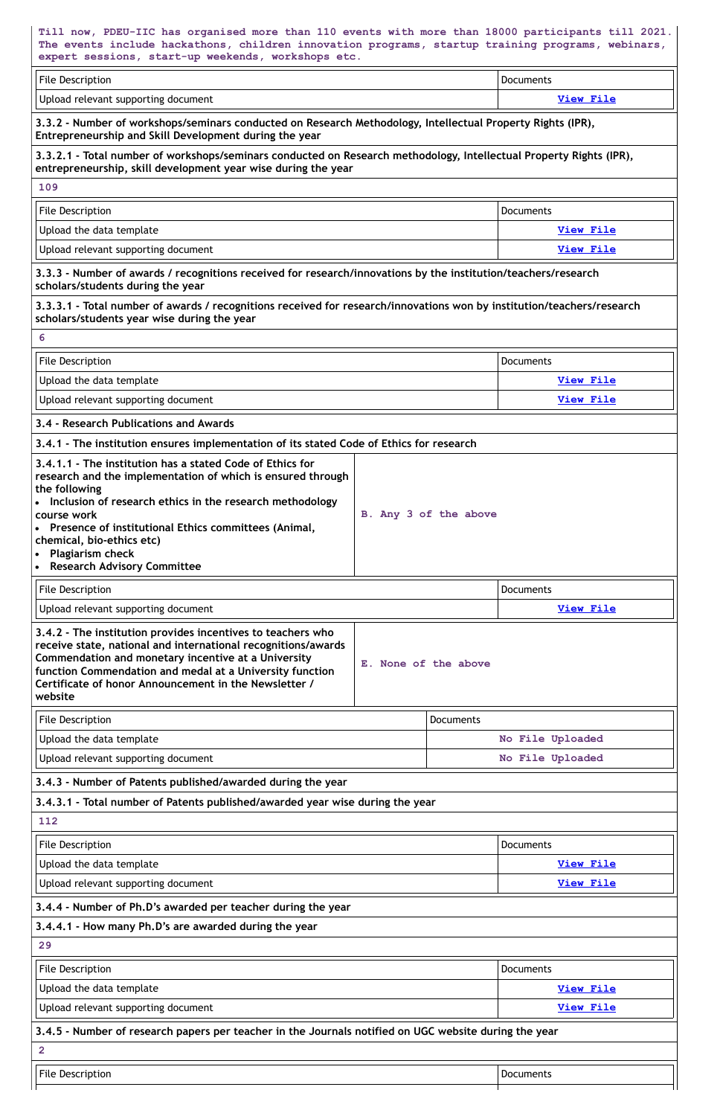| Till now, PDEU-IIC has organised more than 110 events with more than 18000 participants till 2021.<br>The events include hackathons, children innovation programs, startup training programs, webinars,<br>expert sessions, start-up weekends, workshops etc.                                                                                                                          |                       |                  |
|----------------------------------------------------------------------------------------------------------------------------------------------------------------------------------------------------------------------------------------------------------------------------------------------------------------------------------------------------------------------------------------|-----------------------|------------------|
| <b>File Description</b>                                                                                                                                                                                                                                                                                                                                                                |                       | <b>Documents</b> |
| Upload relevant supporting document                                                                                                                                                                                                                                                                                                                                                    |                       | <b>View File</b> |
| 3.3.2 - Number of workshops/seminars conducted on Research Methodology, Intellectual Property Rights (IPR),<br>Entrepreneurship and Skill Development during the year                                                                                                                                                                                                                  |                       |                  |
| 3.3.2.1 - Total number of workshops/seminars conducted on Research methodology, Intellectual Property Rights (IPR),<br>entrepreneurship, skill development year wise during the year                                                                                                                                                                                                   |                       |                  |
| 109                                                                                                                                                                                                                                                                                                                                                                                    |                       |                  |
| <b>File Description</b>                                                                                                                                                                                                                                                                                                                                                                |                       | <b>Documents</b> |
| Upload the data template                                                                                                                                                                                                                                                                                                                                                               |                       | <b>View File</b> |
| Upload relevant supporting document                                                                                                                                                                                                                                                                                                                                                    |                       | <b>View File</b> |
| 3.3.3 - Number of awards / recognitions received for research/innovations by the institution/teachers/research<br>scholars/students during the year                                                                                                                                                                                                                                    |                       |                  |
| 3.3.3.1 - Total number of awards / recognitions received for research/innovations won by institution/teachers/research<br>scholars/students year wise during the year                                                                                                                                                                                                                  |                       |                  |
| 6                                                                                                                                                                                                                                                                                                                                                                                      |                       |                  |
| <b>File Description</b>                                                                                                                                                                                                                                                                                                                                                                |                       | <b>Documents</b> |
| Upload the data template                                                                                                                                                                                                                                                                                                                                                               |                       | <b>View File</b> |
| Upload relevant supporting document                                                                                                                                                                                                                                                                                                                                                    |                       | <b>View File</b> |
| 3.4 - Research Publications and Awards                                                                                                                                                                                                                                                                                                                                                 |                       |                  |
| 3.4.1 - The institution ensures implementation of its stated Code of Ethics for research                                                                                                                                                                                                                                                                                               |                       |                  |
| 3.4.1.1 - The institution has a stated Code of Ethics for<br>research and the implementation of which is ensured through<br>the following<br>• Inclusion of research ethics in the research methodology<br>course work<br>• Presence of institutional Ethics committees (Animal,<br>chemical, bio-ethics etc)<br>• Plagiarism check<br><b>Research Advisory Committee</b><br>$\bullet$ | B. Any 3 of the above |                  |
| <b>File Description</b>                                                                                                                                                                                                                                                                                                                                                                |                       | <b>Documents</b> |
| Upload relevant supporting document                                                                                                                                                                                                                                                                                                                                                    |                       | <b>View File</b> |

| File Description                    | Documents        |
|-------------------------------------|------------------|
| Upload the data template            | No File Uploaded |
| Upload relevant supporting document | No File Uploaded |

| 112                                                                                                   |                  |
|-------------------------------------------------------------------------------------------------------|------------------|
| <b>File Description</b>                                                                               | <b>Documents</b> |
| Upload the data template                                                                              | <b>View File</b> |
| Upload relevant supporting document                                                                   | <b>View File</b> |
| 3.4.4 - Number of Ph.D's awarded per teacher during the year                                          |                  |
| 3.4.4.1 - How many Ph.D's are awarded during the year                                                 |                  |
| 29                                                                                                    |                  |
| <b>File Description</b>                                                                               | Documents        |
| Upload the data template                                                                              | <b>View File</b> |
| Upload relevant supporting document                                                                   | <b>View File</b> |
| 3.4.5 - Number of research papers per teacher in the Journals notified on UGC website during the year |                  |
| $\mathbf{2}$                                                                                          |                  |
| <b>File Description</b>                                                                               | Documents        |
|                                                                                                       |                  |

| 3.4.2 - The institution provides incentives to teachers who<br>receive state, national and international recognitions/awards |                      |
|------------------------------------------------------------------------------------------------------------------------------|----------------------|
| Commendation and monetary incentive at a University<br>function Commendation and medal at a University function              | E. None of the above |
| Certificate of honor Announcement in the Newsletter /<br>website                                                             |                      |

**3.4.3 - Number of Patents published/awarded during the year**

**3.4.3.1 - Total number of Patents published/awarded year wise during the year**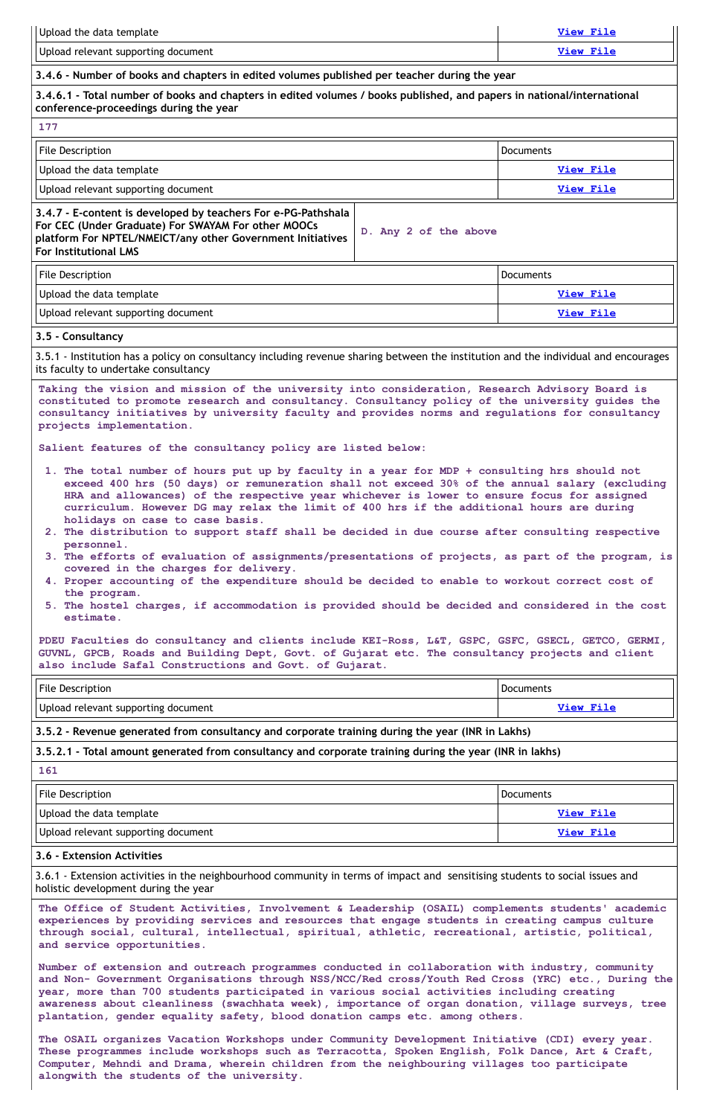| Upload the data template                                                                                                                                                                                                                                                                                                                                                                                                                                                                                                                                                                                                                                                                                                                                                                                                                                                                                                    | <b>View File</b> |
|-----------------------------------------------------------------------------------------------------------------------------------------------------------------------------------------------------------------------------------------------------------------------------------------------------------------------------------------------------------------------------------------------------------------------------------------------------------------------------------------------------------------------------------------------------------------------------------------------------------------------------------------------------------------------------------------------------------------------------------------------------------------------------------------------------------------------------------------------------------------------------------------------------------------------------|------------------|
| Upload relevant supporting document                                                                                                                                                                                                                                                                                                                                                                                                                                                                                                                                                                                                                                                                                                                                                                                                                                                                                         | <b>View File</b> |
| 3.4.6 - Number of books and chapters in edited volumes published per teacher during the year                                                                                                                                                                                                                                                                                                                                                                                                                                                                                                                                                                                                                                                                                                                                                                                                                                |                  |
| 3.4.6.1 - Total number of books and chapters in edited volumes / books published, and papers in national/international<br>conference-proceedings during the year                                                                                                                                                                                                                                                                                                                                                                                                                                                                                                                                                                                                                                                                                                                                                            |                  |
| 177                                                                                                                                                                                                                                                                                                                                                                                                                                                                                                                                                                                                                                                                                                                                                                                                                                                                                                                         |                  |
| <b>File Description</b>                                                                                                                                                                                                                                                                                                                                                                                                                                                                                                                                                                                                                                                                                                                                                                                                                                                                                                     | <b>Documents</b> |
| Upload the data template                                                                                                                                                                                                                                                                                                                                                                                                                                                                                                                                                                                                                                                                                                                                                                                                                                                                                                    | <b>View File</b> |
| Upload relevant supporting document                                                                                                                                                                                                                                                                                                                                                                                                                                                                                                                                                                                                                                                                                                                                                                                                                                                                                         | View File        |
| 3.4.7 - E-content is developed by teachers For e-PG-Pathshala<br>For CEC (Under Graduate) For SWAYAM For other MOOCs<br>D. Any 2 of the above<br>platform For NPTEL/NMEICT/any other Government Initiatives<br><b>For Institutional LMS</b>                                                                                                                                                                                                                                                                                                                                                                                                                                                                                                                                                                                                                                                                                 |                  |
| <b>File Description</b>                                                                                                                                                                                                                                                                                                                                                                                                                                                                                                                                                                                                                                                                                                                                                                                                                                                                                                     | <b>Documents</b> |
| Upload the data template                                                                                                                                                                                                                                                                                                                                                                                                                                                                                                                                                                                                                                                                                                                                                                                                                                                                                                    | <b>View File</b> |
| Upload relevant supporting document                                                                                                                                                                                                                                                                                                                                                                                                                                                                                                                                                                                                                                                                                                                                                                                                                                                                                         | <b>View File</b> |
| 3.5 - Consultancy                                                                                                                                                                                                                                                                                                                                                                                                                                                                                                                                                                                                                                                                                                                                                                                                                                                                                                           |                  |
| 3.5.1 - Institution has a policy on consultancy including revenue sharing between the institution and the individual and encourages<br>its faculty to undertake consultancy<br>Taking the vision and mission of the university into consideration, Research Advisory Board is                                                                                                                                                                                                                                                                                                                                                                                                                                                                                                                                                                                                                                               |                  |
| constituted to promote research and consultancy. Consultancy policy of the university quides the<br>consultancy initiatives by university faculty and provides norms and regulations for consultancy<br>projects implementation.<br>Salient features of the consultancy policy are listed below:                                                                                                                                                                                                                                                                                                                                                                                                                                                                                                                                                                                                                            |                  |
| 1. The total number of hours put up by faculty in a year for MDP + consulting hrs should not<br>exceed 400 hrs (50 days) or remuneration shall not exceed 30% of the annual salary (excluding<br>HRA and allowances) of the respective year whichever is lower to ensure focus for assigned<br>curriculum. However DG may relax the limit of 400 hrs if the additional hours are during<br>holidays on case to case basis.<br>2. The distribution to support staff shall be decided in due course after consulting respective<br>personnel.<br>3. The efforts of evaluation of assignments/presentations of projects, as part of the program, is<br>covered in the charges for delivery.<br>4. Proper accounting of the expenditure should be decided to enable to workout correct cost of<br>the program.<br>5. The hostel charges, if accommodation is provided should be decided and considered in the cost<br>estimate. |                  |
| PDEU Faculties do consultancy and clients include KEI-Ross, L&T, GSPC, GSFC, GSECL, GETCO, GERMI,<br>GUVNL, GPCB, Roads and Building Dept, Govt. of Gujarat etc. The consultancy projects and client<br>also include Safal Constructions and Govt. of Gujarat.                                                                                                                                                                                                                                                                                                                                                                                                                                                                                                                                                                                                                                                              |                  |
| File Description                                                                                                                                                                                                                                                                                                                                                                                                                                                                                                                                                                                                                                                                                                                                                                                                                                                                                                            | <b>Documents</b> |
| Upload relevant supporting document                                                                                                                                                                                                                                                                                                                                                                                                                                                                                                                                                                                                                                                                                                                                                                                                                                                                                         | <b>View File</b> |
| 3.5.2 - Revenue generated from consultancy and corporate training during the year (INR in Lakhs)                                                                                                                                                                                                                                                                                                                                                                                                                                                                                                                                                                                                                                                                                                                                                                                                                            |                  |
| 3.5.2.1 - Total amount generated from consultancy and corporate training during the year (INR in lakhs)                                                                                                                                                                                                                                                                                                                                                                                                                                                                                                                                                                                                                                                                                                                                                                                                                     |                  |
| 161                                                                                                                                                                                                                                                                                                                                                                                                                                                                                                                                                                                                                                                                                                                                                                                                                                                                                                                         |                  |

| File Description         | Documents    |
|--------------------------|--------------|
| Upload the data template | $M_1 \sim 1$ |

# **3.6 - Extension Activities**

3.6.1 - Extension activities in the neighbourhood community in terms of impact and sensitising students to social issues and holistic development during the year

**The Office of Student Activities, Involvement & Leadership (OSAIL) complements students' academic experiences by providing services and resources that engage students in creating campus culture through social, cultural, intellectual, spiritual, athletic, recreational, artistic, political, and service opportunities.**

**Number of extension and outreach programmes conducted in collaboration with industry, community and Non- Government Organisations through NSS/NCC/Red cross/Youth Red Cross (YRC) etc., During the year, more than 700 students participated in various social activities including creating awareness about cleanliness (swachhata week), importance of organ donation, village surveys, tree plantation, gender equality safety, blood donation camps etc. among others.**

**The OSAIL organizes Vacation Workshops under Community Development Initiative (CDI) every year. These programmes include workshops such as Terracotta, Spoken English, Folk Dance, Art & Craft, Computer, Mehndi and Drama, wherein children from the neighbouring villages too participate alongwith the students of the university.**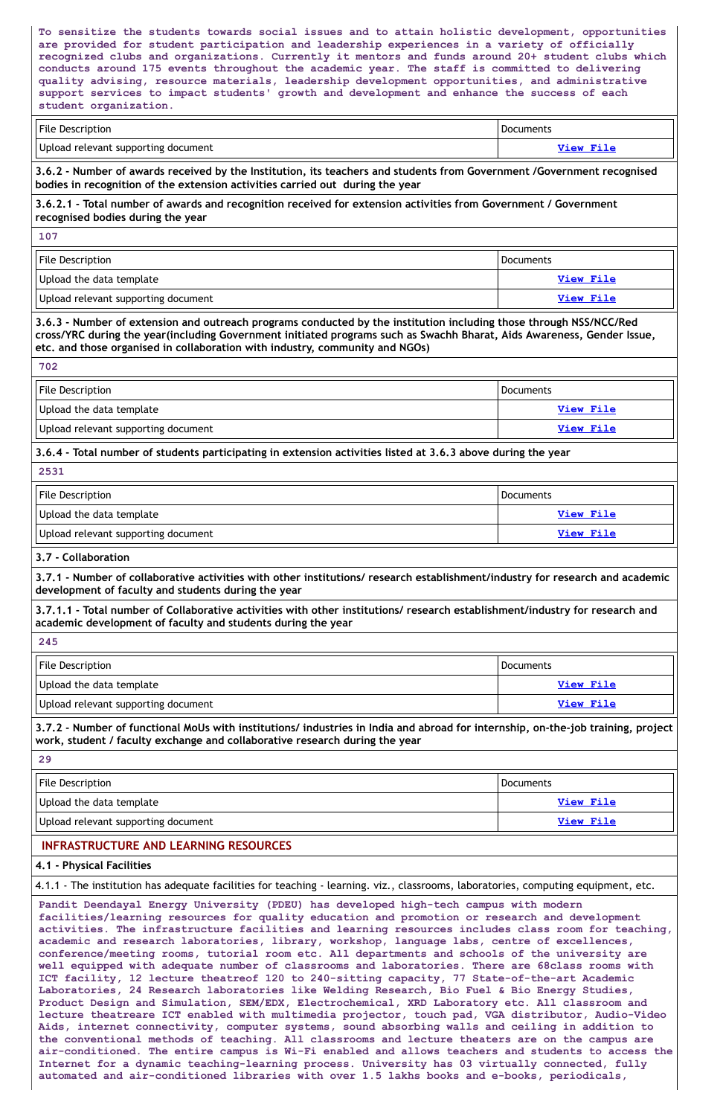**To sensitize the students towards social issues and to attain holistic development, opportunities are provided for student participation and leadership experiences in a variety of officially recognized clubs and organizations. Currently it mentors and funds around 20+ student clubs which conducts around 175 events throughout the academic year. The staff is committed to delivering quality advising, resource materials, leadership development opportunities, and administrative support services to impact students' growth and development and enhance the success of each student organization.**

| File Description                    | <b>Documents</b> |
|-------------------------------------|------------------|
| Upload relevant supporting document | View File        |

3.6.2 - Number of awards received by the Institution, its teachers and students from Government /Government recognised **bodies in recognition of the extension activities carried out during the year**

| <b>File Description</b>             | Documents        |
|-------------------------------------|------------------|
| Upload the data template            | View File        |
| Upload relevant supporting document | <u>View File</u> |

3.6.3 - Number of extension and outreach programs conducted by the institution including those through NSS/NCC/Red **cross/YRC during the year(including Government initiated programs such as Swachh Bharat, Aids Awareness, Gender Issue, etc. and those organised in collaboration with industry, community and NGOs)**

| <b>File Description</b>             | <b>Documents</b> |
|-------------------------------------|------------------|
| Upload the data template            | View File        |
| Upload relevant supporting document | <b>View File</b> |

**3.6.2.1 - Total number of awards and recognition received for extension activities from Government / Government recognised bodies during the year**

3.7.1 - Number of collaborative activities with other institutions/ research establishment/industry for research and academic **development of faculty and students during the year**

**107**

3.7.1.1 - Total number of Collaborative activities with other institutions/ research establishment/industry for research and **academic development of faculty and students during the year**

| File Description                    | Documents |
|-------------------------------------|-----------|
| Upload the data template            | View File |
| Upload relevant supporting document | View File |

3.7.2 - Number of functional MoUs with institutions/ industries in India and abroad for internship, on-the-job training, project **work, student / faculty exchange and collaborative research during the year**

| × |
|---|
|---|

**3.6.4 - Total number of students participating in extension activities listed at 3.6.3 above during the year**

| 2531                                |                  |
|-------------------------------------|------------------|
| <b>File Description</b>             | Documents        |
| Upload the data template            | View File        |
| Upload relevant supporting document | <b>View File</b> |

**3.7 - Collaboration**

**245**

**29**

| <b>File Description</b>             | <b>Documents</b> |
|-------------------------------------|------------------|
| Upload the data template            | View File        |
| Hoload relevant supporting document | $V_i$ aw File    |

# **INFRASTRUCTURE AND LEARNING RESOURCES**

# **4.1 - Physical Facilities**

4.1.1 - The institution has adequate facilities for teaching - learning. viz., classrooms, laboratories, computing equipment, etc.

**Pandit Deendayal Energy University (PDEU) has developed high-tech campus with modern facilities/learning resources for quality education and promotion or research and development activities. The infrastructure facilities and learning resources includes class room for teaching, academic and research laboratories, library, workshop, language labs, centre of excellences, conference/meeting rooms, tutorial room etc. All departments and schools of the university are well equipped with adequate number of classrooms and laboratories. There are 68class rooms with ICT facility, 12 lecture theatreof 120 to 240-sitting capacity, 77 State-of-the-art Academic Laboratories, 24 Research laboratories like Welding Research, Bio Fuel & Bio Energy Studies, Product Design and Simulation, SEM/EDX, Electrochemical, XRD Laboratory etc. All classroom and lecture theatreare ICT enabled with multimedia projector, touch pad, VGA distributor, Audio-Video Aids, internet connectivity, computer systems, sound absorbing walls and ceiling in addition to the conventional methods of teaching. All classrooms and lecture theaters are on the campus are air-conditioned. The entire campus is Wi-Fi enabled and allows teachers and students to access the Internet for a dynamic teaching-learning process. University has 03 virtually connected, fully automated and air-conditioned libraries with over 1.5 lakhs books and e-books, periodicals,**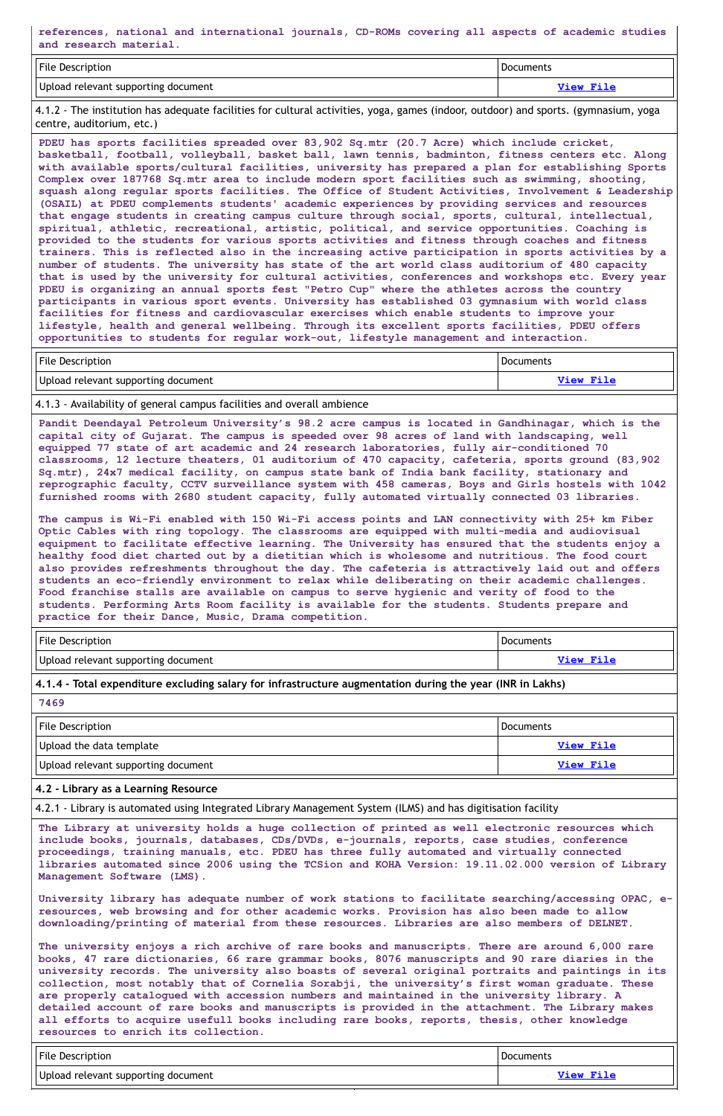**references, national and international journals, CD-ROMs covering all aspects of academic studies and research material.**

| File Description                    | <b>Documents</b> |
|-------------------------------------|------------------|
| Upload relevant supporting document | View File        |

4.1.2 - The institution has adequate facilities for cultural activities, yoga, games (indoor, outdoor) and sports. (gymnasium, yoga centre, auditorium, etc.)

**PDEU has sports facilities spreaded over 83,902 Sq.mtr (20.7 Acre) which include cricket, basketball, football, volleyball, basket ball, lawn tennis, badminton, fitness centers etc. Along with available sports/cultural facilities, university has prepared a plan for establishing Sports Complex over 187768 Sq.mtr area to include modern sport facilities such as swimming, shooting, squash along regular sports facilities. The Office of Student Activities, Involvement & Leadership (OSAIL) at PDEU complements students' academic experiences by providing services and resources that engage students in creating campus culture through social, sports, cultural, intellectual, spiritual, athletic, recreational, artistic, political, and service opportunities. Coaching is provided to the students for various sports activities and fitness through coaches and fitness trainers. This is reflected also in the increasing active participation in sports activities by a number of students. The university has state of the art world class auditorium of 480 capacity that is used by the university for cultural activities, conferences and workshops etc. Every year PDEU is organizing an annual sports fest "Petro Cup" where the athletes across the country participants in various sport events. University has established 03 gymnasium with world class facilities for fitness and cardiovascular exercises which enable students to improve your lifestyle, health and general wellbeing. Through its excellent sports facilities, PDEU offers opportunities to students for regular work-out, lifestyle management and interaction.**

| <b>File Description</b>             | Documents        |
|-------------------------------------|------------------|
| Upload relevant supporting document | <b>View File</b> |

| <b>File Description</b>             | Documents        |
|-------------------------------------|------------------|
| Upload the data template            | View File        |
| Upload relevant supporting document | <u>View File</u> |

| <b>File Description</b>             | Documents |
|-------------------------------------|-----------|
| Upload relevant supporting document | View File |

#### 4.1.3 - Availability of general campus facilities and overall ambience

**Pandit Deendayal Petroleum University's 98.2 acre campus is located in Gandhinagar, which is the capital city of Gujarat. The campus is speeded over 98 acres of land with landscaping, well equipped 77 state of art academic and 24 research laboratories, fully air-conditioned 70 classrooms, 12 lecture theaters, 01 auditorium of 470 capacity, cafeteria, sports ground (83,902 Sq.mtr), 24x7 medical facility, on campus state bank of India bank facility, stationary and reprographic faculty, CCTV surveillance system with 458 cameras, Boys and Girls hostels with 1042 furnished rooms with 2680 student capacity, fully automated virtually connected 03 libraries.**

| File Description                    | <b>Documents</b> |
|-------------------------------------|------------------|
| Upload relevant supporting document | View File        |

**The campus is Wi-Fi enabled with 150 Wi-Fi access points and LAN connectivity with 25+ km Fiber Optic Cables with ring topology. The classrooms are equipped with multi-media and audiovisual equipment to facilitate effective learning. The University has ensured that the students enjoy a healthy food diet charted out by a dietitian which is wholesome and nutritious. The food court also provides refreshments throughout the day. The cafeteria is attractively laid out and offers students an eco-friendly environment to relax while deliberating on their academic challenges. Food franchise stalls are available on campus to serve hygienic and verity of food to the students. Performing Arts Room facility is available for the students. Students prepare and practice for their Dance, Music, Drama competition.**

**4.1.4 - Total expenditure excluding salary for infrastructure augmentation during the year (INR in Lakhs)**

**7469**

**4.2 - Library as a Learning Resource**

4.2.1 - Library is automated using Integrated Library Management System (ILMS) and has digitisation facility

**The Library at university holds a huge collection of printed as well electronic resources which include books, journals, databases, CDs/DVDs, e-journals, reports, case studies, conference proceedings, training manuals, etc. PDEU has three fully automated and virtually connected libraries automated since 2006 using the TCSion and KOHA Version: 19.11.02.000 version of Library Management Software (LMS).**

**University library has adequate number of work stations to facilitate searching/accessing OPAC, eresources, web browsing and for other academic works. Provision has also been made to allow downloading/printing of material from these resources. Libraries are also members of DELNET.**

**The university enjoys a rich archive of rare books and manuscripts. There are around 6,000 rare books, 47 rare dictionaries, 66 rare grammar books, 8076 manuscripts and 90 rare diaries in the university records. The university also boasts of several original portraits and paintings in its collection, most notably that of Cornelia Sorabji, the university's first woman graduate. These are properly catalogued with accession numbers and maintained in the university library. A detailed account of rare books and manuscripts is provided in the attachment. The Library makes all efforts to acquire usefull books including rare books, reports, thesis, other knowledge resources to enrich its collection.**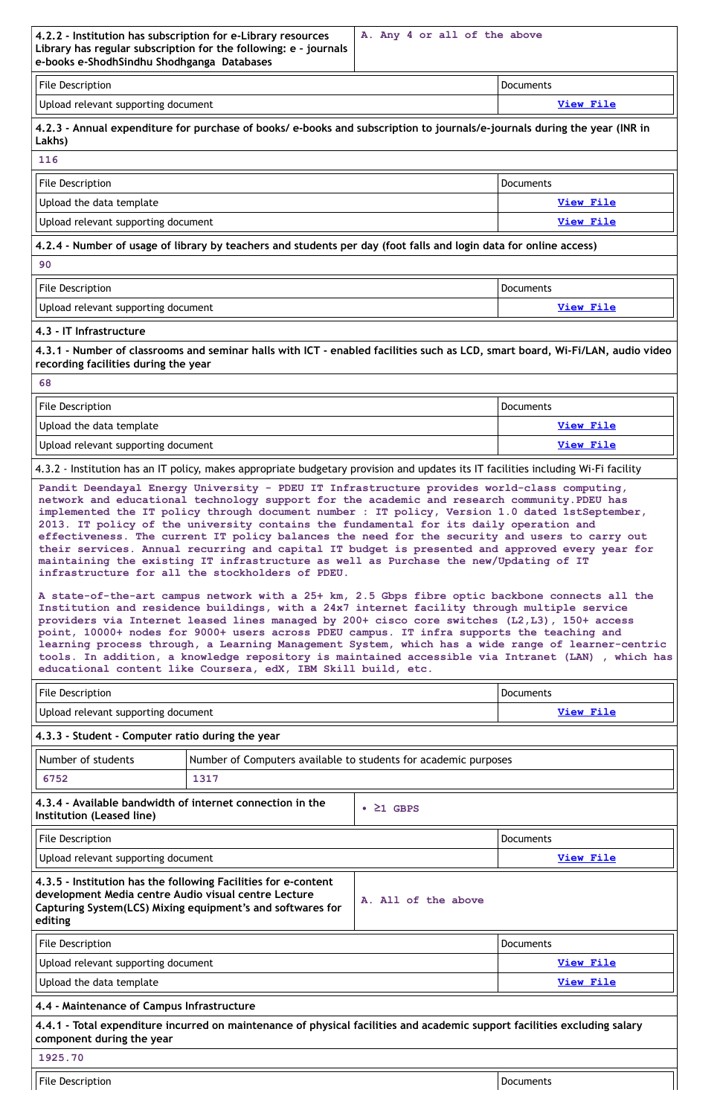|                                                                                                                                                                                | A. Any 4 or all of the above |                  |  |
|--------------------------------------------------------------------------------------------------------------------------------------------------------------------------------|------------------------------|------------------|--|
| 4.2.2 - Institution has subscription for e-Library resources<br>Library has regular subscription for the following: e - journals<br>e-books e-ShodhSindhu Shodhganga Databases |                              |                  |  |
| <b>File Description</b>                                                                                                                                                        |                              | <b>Documents</b> |  |
| Upload relevant supporting document                                                                                                                                            |                              | View File        |  |
| 4.2.3 - Annual expenditure for purchase of books/ e-books and subscription to journals/e-journals during the year (INR in<br>Lakhs)                                            |                              |                  |  |
| 116                                                                                                                                                                            |                              |                  |  |
| <b>File Description</b>                                                                                                                                                        |                              | <b>Documents</b> |  |
| Upload the data template                                                                                                                                                       |                              | View File        |  |
| Upload relevant supporting document                                                                                                                                            |                              | View File        |  |
| 4.2.4 - Number of usage of library by teachers and students per day (foot falls and login data for online access)                                                              |                              |                  |  |
| 90                                                                                                                                                                             |                              |                  |  |
| <b>File Description</b>                                                                                                                                                        |                              | <b>Documents</b> |  |
| Upload relevant supporting document                                                                                                                                            |                              | View File        |  |
| 4.3 - IT Infrastructure                                                                                                                                                        |                              |                  |  |
| 4.3.1 - Number of classrooms and seminar halls with ICT - enabled facilities such as LCD, smart board, Wi-Fi/LAN, audio video<br>recording facilities during the year          |                              |                  |  |
| 68                                                                                                                                                                             |                              |                  |  |

| <b>File Description</b>             | Documents        |
|-------------------------------------|------------------|
| Upload the data template            | View File        |
| Upload relevant supporting document | <b>View File</b> |

4.3.2 - Institution has an IT policy, makes appropriate budgetary provision and updates its IT facilities including Wi-Fi facility

| <b>File Description</b>                          |                                                                 |           | <b>Documents</b> |
|--------------------------------------------------|-----------------------------------------------------------------|-----------|------------------|
| Upload relevant supporting document              |                                                                 | View File |                  |
| 4.3.3 - Student - Computer ratio during the year |                                                                 |           |                  |
| Number of students                               | Number of Computers available to students for academic purposes |           |                  |
| 6752                                             | 1317                                                            |           |                  |
|                                                  | 4.3.4 - Available bandwidth of internet connection in the       | GBPS      |                  |

**Pandit Deendayal Energy University - PDEU IT Infrastructure provides world-class computing, network and educational technology support for the academic and research community.PDEU has implemented the IT policy through document number : IT policy, Version 1.0 dated 1stSeptember, 2013. IT policy of the university contains the fundamental for its daily operation and effectiveness. The current IT policy balances the need for the security and users to carry out their services. Annual recurring and capital IT budget is presented and approved every year for maintaining the existing IT infrastructure as well as Purchase the new/Updating of IT infrastructure for all the stockholders of PDEU.**

**A state-of-the-art campus network with a 25+ km, 2.5 Gbps fibre optic backbone connects all the Institution and residence buildings, with a 24x7 internet facility through multiple service providers via Internet leased lines managed by 200+ cisco core switches (L2,L3), 150+ access point, 10000+ nodes for 9000+ users across PDEU campus. IT infra supports the teaching and learning process through, a Learning Management System, which has a wide range of learner-centric tools. In addition, a knowledge repository is maintained accessible via Intranet (LAN) , which has educational content like Coursera, edX, IBM Skill build, etc.**

| <b>File Description</b>                                                                                                                                                                         |                     | <b>Documents</b> |  |
|-------------------------------------------------------------------------------------------------------------------------------------------------------------------------------------------------|---------------------|------------------|--|
| Upload relevant supporting document                                                                                                                                                             |                     | <u>View File</u> |  |
| 4.3.5 - Institution has the following Facilities for e-content<br>development Media centre Audio visual centre Lecture<br>Capturing System(LCS) Mixing equipment's and softwares for<br>editing | A. All of the above |                  |  |
| <b>File Description</b>                                                                                                                                                                         |                     | <b>Documents</b> |  |
| Upload relevant supporting document                                                                                                                                                             |                     | <b>View File</b> |  |
| Upload the data template                                                                                                                                                                        |                     | <b>View File</b> |  |
| 4.4 - Maintenance of Campus Infrastructure                                                                                                                                                      |                     |                  |  |
| 4.4.1 - Total expenditure incurred on maintenance of physical facilities and academic support facilities excluding salary<br>component during the year                                          |                     |                  |  |
| 1925.70                                                                                                                                                                                         |                     |                  |  |
| File Description                                                                                                                                                                                |                     | Documents        |  |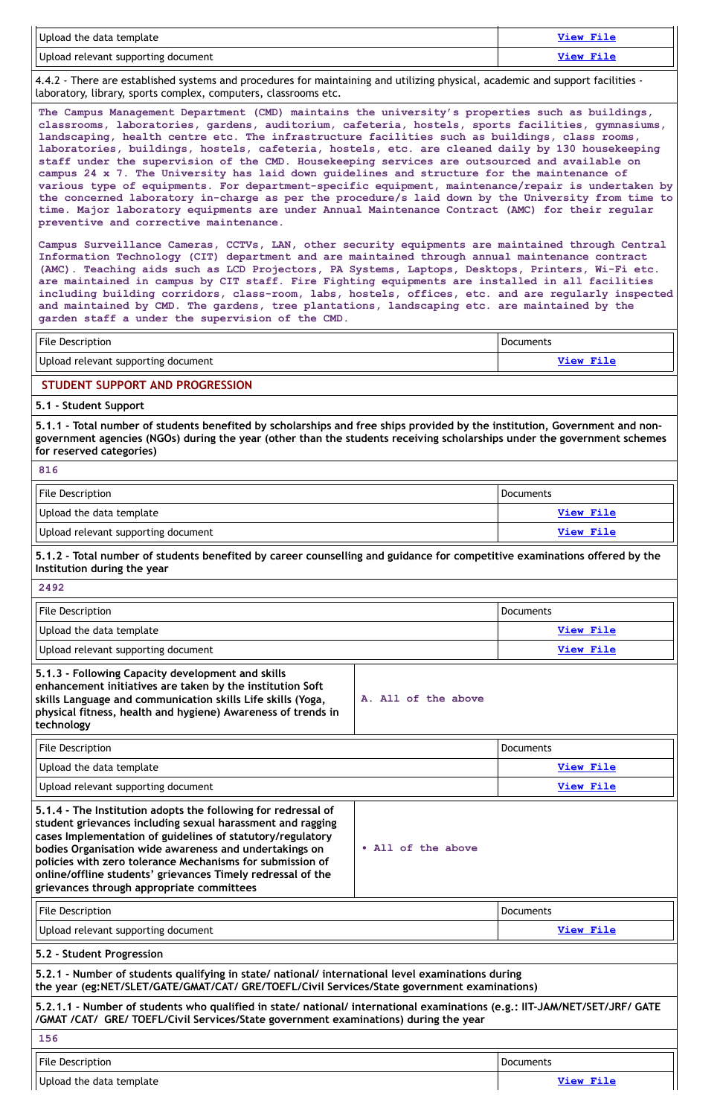| Upload the data template            | View File |
|-------------------------------------|-----------|
| Upload relevant supporting document | View File |

4.4.2 - There are established systems and procedures for maintaining and utilizing physical, academic and support facilities laboratory, library, sports complex, computers, classrooms etc.

**The Campus Management Department (CMD) maintains the university's properties such as buildings, classrooms, laboratories, gardens, auditorium, cafeteria, hostels, sports facilities, gymnasiums, landscaping, health centre etc. The infrastructure facilities such as buildings, class rooms, laboratories, buildings, hostels, cafeteria, hostels, etc. are cleaned daily by 130 housekeeping staff under the supervision of the CMD. Housekeeping services are outsourced and available on campus 24 x 7. The University has laid down guidelines and structure for the maintenance of various type of equipments. For department-specific equipment, maintenance/repair is undertaken by the concerned laboratory in-charge as per the procedure/s laid down by the University from time to time. Major laboratory equipments are under Annual Maintenance Contract (AMC) for their regular preventive and corrective maintenance.**

| <b>File Description</b>             | <b>Documents</b> |
|-------------------------------------|------------------|
| Upload relevant supporting document | <b>View File</b> |

5.1.1 - Total number of students benefited by scholarships and free ships provided by the institution, Government and non**government agencies (NGOs) during the year (other than the students receiving scholarships under the government schemes for reserved categories)**

| <b>File Description</b>             | <b>Documents</b> |
|-------------------------------------|------------------|
| Upload the data template            | View File        |
| Upload relevant supporting document | View File        |

# 5.1.2 - Total number of students benefited by career counselling and guidance for competitive examinations offered by the **Institution during the year**

**Campus Surveillance Cameras, CCTVs, LAN, other security equipments are maintained through Central Information Technology (CIT) department and are maintained through annual maintenance contract (AMC). Teaching aids such as LCD Projectors, PA Systems, Laptops, Desktops, Printers, Wi-Fi etc. are maintained in campus by CIT staff. Fire Fighting equipments are installed in all facilities including building corridors, class-room, labs, hostels, offices, etc. and are regularly inspected and maintained by CMD. The gardens, tree plantations, landscaping etc. are maintained by the garden staff a under the supervision of the CMD.**

# **STUDENT SUPPORT AND PROGRESSION**

# **5.1 - Student Support**

**816**

| 2492                                                                                                                                                                                                                                                        |                     |                  |
|-------------------------------------------------------------------------------------------------------------------------------------------------------------------------------------------------------------------------------------------------------------|---------------------|------------------|
| <b>File Description</b>                                                                                                                                                                                                                                     |                     | <b>Documents</b> |
| Upload the data template                                                                                                                                                                                                                                    |                     | <b>View File</b> |
| Upload relevant supporting document                                                                                                                                                                                                                         |                     | View File        |
| 5.1.3 - Following Capacity development and skills<br>enhancement initiatives are taken by the institution Soft<br>skills Language and communication skills Life skills (Yoga,<br>physical fitness, health and hygiene) Awareness of trends in<br>technology | A. All of the above |                  |
| <b>File Description</b>                                                                                                                                                                                                                                     |                     | <b>Documents</b> |
| Upload the data template                                                                                                                                                                                                                                    |                     | <b>View File</b> |
| Upload relevant supporting document                                                                                                                                                                                                                         |                     | <u>View File</u> |
|                                                                                                                                                                                                                                                             |                     |                  |

**5.1.4 - The Institution adopts the following for redressal of**

| student grievances including sexual harassment and ragging<br>cases Implementation of guidelines of statutory/regulatory<br>bodies Organisation wide awareness and undertakings on<br>policies with zero tolerance Mechanisms for submission of<br>online/offline students' grievances Timely redressal of the<br>grievances through appropriate committees | • All of the above |                  |
|-------------------------------------------------------------------------------------------------------------------------------------------------------------------------------------------------------------------------------------------------------------------------------------------------------------------------------------------------------------|--------------------|------------------|
| <b>File Description</b>                                                                                                                                                                                                                                                                                                                                     |                    | <b>Documents</b> |
| Upload relevant supporting document                                                                                                                                                                                                                                                                                                                         |                    | <b>View File</b> |
| 5.2 - Student Progression                                                                                                                                                                                                                                                                                                                                   |                    |                  |
| 5.2.1 - Number of students qualifying in state/ national/ international level examinations during<br>the year (eg:NET/SLET/GATE/GMAT/CAT/ GRE/TOEFL/Civil Services/State government examinations)                                                                                                                                                           |                    |                  |
| 5.2.1.1 - Number of students who qualified in state/ national/ international examinations (e.g.: IIT-JAM/NET/SET/JRF/ GATE<br>/GMAT /CAT/ GRE/ TOEFL/Civil Services/State government examinations) during the year                                                                                                                                          |                    |                  |
| 156                                                                                                                                                                                                                                                                                                                                                         |                    |                  |
| <b>File Description</b>                                                                                                                                                                                                                                                                                                                                     |                    | <b>Documents</b> |
| Upload the data template                                                                                                                                                                                                                                                                                                                                    |                    | <b>View File</b> |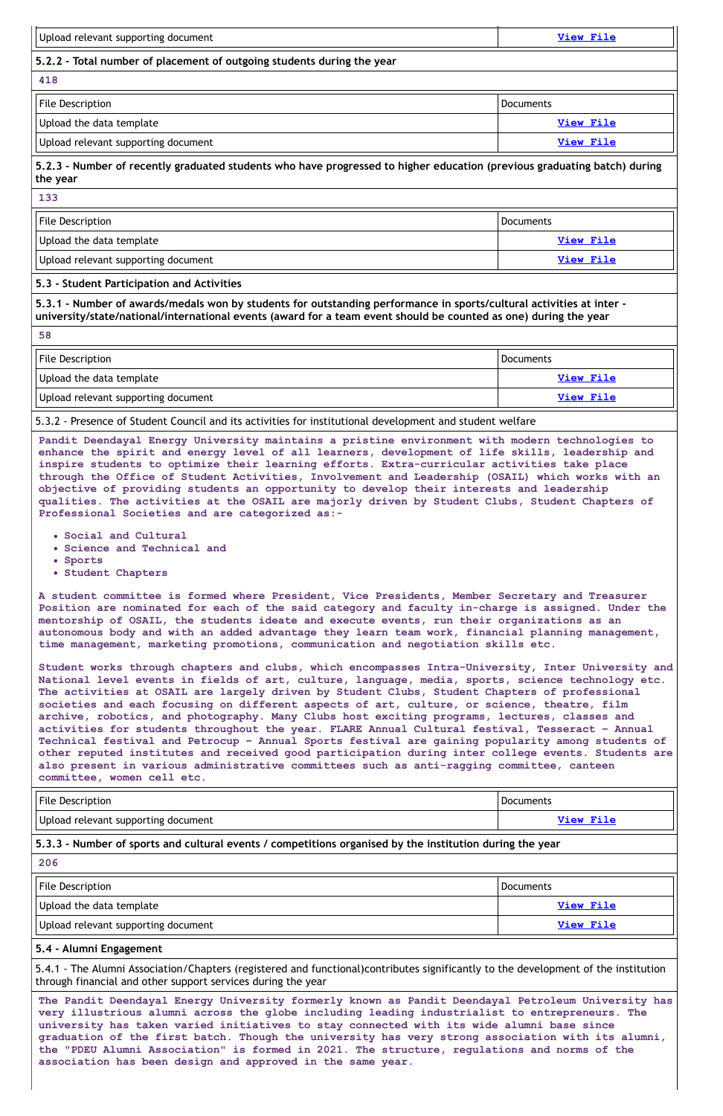| Upload relevant supporting document                                                                                                                                                                                                                                                                                                                                                                                                                                                                                                                                                                                                                     | <b>View File</b> |
|---------------------------------------------------------------------------------------------------------------------------------------------------------------------------------------------------------------------------------------------------------------------------------------------------------------------------------------------------------------------------------------------------------------------------------------------------------------------------------------------------------------------------------------------------------------------------------------------------------------------------------------------------------|------------------|
| 5.2.2 - Total number of placement of outgoing students during the year                                                                                                                                                                                                                                                                                                                                                                                                                                                                                                                                                                                  |                  |
| 418                                                                                                                                                                                                                                                                                                                                                                                                                                                                                                                                                                                                                                                     |                  |
| <b>File Description</b>                                                                                                                                                                                                                                                                                                                                                                                                                                                                                                                                                                                                                                 | <b>Documents</b> |
| Upload the data template                                                                                                                                                                                                                                                                                                                                                                                                                                                                                                                                                                                                                                | View File        |
| Upload relevant supporting document                                                                                                                                                                                                                                                                                                                                                                                                                                                                                                                                                                                                                     | <b>View File</b> |
| 5.2.3 - Number of recently graduated students who have progressed to higher education (previous graduating batch) during<br>the year                                                                                                                                                                                                                                                                                                                                                                                                                                                                                                                    |                  |
| 133                                                                                                                                                                                                                                                                                                                                                                                                                                                                                                                                                                                                                                                     |                  |
| <b>File Description</b>                                                                                                                                                                                                                                                                                                                                                                                                                                                                                                                                                                                                                                 | <b>Documents</b> |
| Upload the data template                                                                                                                                                                                                                                                                                                                                                                                                                                                                                                                                                                                                                                | <b>View File</b> |
| Upload relevant supporting document                                                                                                                                                                                                                                                                                                                                                                                                                                                                                                                                                                                                                     | <b>View File</b> |
| 5.3 - Student Participation and Activities                                                                                                                                                                                                                                                                                                                                                                                                                                                                                                                                                                                                              |                  |
| <b>File Description</b>                                                                                                                                                                                                                                                                                                                                                                                                                                                                                                                                                                                                                                 | <b>Documents</b> |
|                                                                                                                                                                                                                                                                                                                                                                                                                                                                                                                                                                                                                                                         |                  |
| Upload the data template                                                                                                                                                                                                                                                                                                                                                                                                                                                                                                                                                                                                                                | <b>View File</b> |
| Upload relevant supporting document                                                                                                                                                                                                                                                                                                                                                                                                                                                                                                                                                                                                                     | View File        |
| 5.3.2 - Presence of Student Council and its activities for institutional development and student welfare                                                                                                                                                                                                                                                                                                                                                                                                                                                                                                                                                |                  |
| Pandit Deendayal Energy University maintains a pristine environment with modern technologies to<br>enhance the spirit and energy level of all learners, development of life skills, leadership and<br>inspire students to optimize their learning efforts. Extra-curricular activities take place<br>through the Office of Student Activities, Involvement and Leadership (OSAIL) which works with an<br>objective of providing students an opportunity to develop their interests and leadership<br>qualities. The activities at the OSAIL are majorly driven by Student Clubs, Student Chapters of<br>Professional Societies and are categorized as:- |                  |
| . Social and Cultural<br>• Science and Technical and<br>• Sports<br>• Student Chapters                                                                                                                                                                                                                                                                                                                                                                                                                                                                                                                                                                  |                  |
| A student committee is formed where President, Vice Presidents, Member Secretary and Treasurer<br>Position are nominated for each of the said category and faculty in-charge is assigned. Under the                                                                                                                                                                                                                                                                                                                                                                                                                                                     |                  |

**time management, marketing promotions, communication and negotiation skills etc.**

**Student works through chapters and clubs, which encompasses Intra-University, Inter University and National level events in fields of art, culture, language, media, sports, science technology etc. The activities at OSAIL are largely driven by Student Clubs, Student Chapters of professional societies and each focusing on different aspects of art, culture, or science, theatre, film archive, robotics, and photography. Many Clubs host exciting programs, lectures, classes and activities for students throughout the year. FLARE Annual Cultural festival, Tesseract – Annual Technical festival and Petrocup – Annual Sports festival are gaining popularity among students of other reputed institutes and received good participation during inter college events. Students are also present in various administrative committees such as anti-ragging committee, canteen committee, women cell etc.**

| File Description                                                  | Documents          |
|-------------------------------------------------------------------|--------------------|
| l litte to a straigh a concert access a subtrained a concerta and | - 大きさ コーヒー 大きさ きょう |

# **5.3.3 - Number of sports and cultural events / competitions organised by the institution during the year**

#### **206**

| <b>File Description</b>             | Documents        |
|-------------------------------------|------------------|
| Upload the data template            | <u>View File</u> |
| Upload relevant supporting document | View File        |

# **5.4 - Alumni Engagement**

5.4.1 - The Alumni Association/Chapters (registered and functional)contributes significantly to the development of the institution through financial and other support services during the year

**The Pandit Deendayal Energy University formerly known as Pandit Deendayal Petroleum University has very illustrious alumni across the globe including leading industrialist to entrepreneurs. The university has taken varied initiatives to stay connected with its wide alumni base since graduation of the first batch. Though the university has very strong association with its alumni, the "PDEU Alumni Association" is formed in 2021. The structure, regulations and norms of the association has been design and approved in the same year.**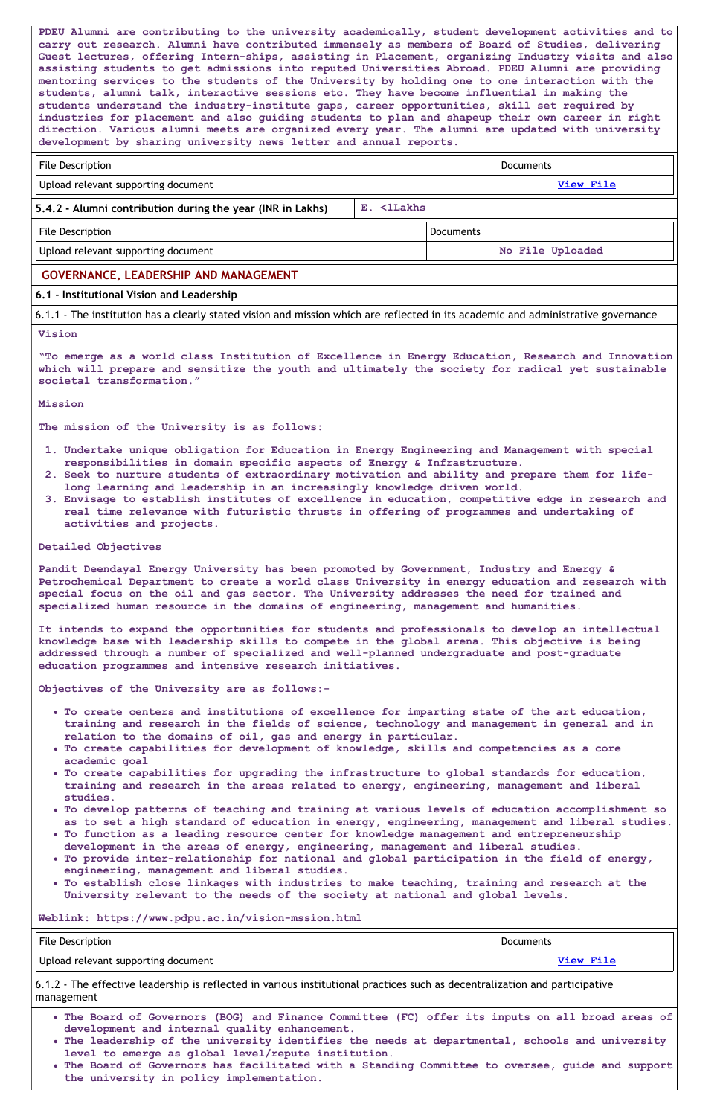**PDEU Alumni are contributing to the university academically, student development activities and to carry out research. Alumni have contributed immensely as members of Board of Studies, delivering Guest lectures, offering Intern-ships, assisting in Placement, organizing Industry visits and also assisting students to get admissions into reputed Universities Abroad. PDEU Alumni are providing mentoring services to the students of the University by holding one to one interaction with the students, alumni talk, interactive sessions etc. They have become influential in making the students understand the industry-institute gaps, career opportunities, skill set required by industries for placement and also guiding students to plan and shapeup their own career in right direction. Various alumni meets are organized every year. The alumni are updated with university development by sharing university news letter and annual reports.**

| <b>File Description</b>             | <b>Documents</b> |
|-------------------------------------|------------------|
| Upload relevant supporting document | <b>View File</b> |

| File Description                                 | Documents        |
|--------------------------------------------------|------------------|
| $\vert\vert$ Upload relevant supporting document | No File Uploaded |

# **5.4.2 - Alumni contribution during the year (INR in Lakhs) E. <1Lakhs**

# **GOVERNANCE, LEADERSHIP AND MANAGEMENT**

# **6.1 - Institutional Vision and Leadership**

6.1.1 - The institution has a clearly stated vision and mission which are reflected in its academic and administrative governance

#### **Vision**

**"To emerge as a world class Institution of Excellence in Energy Education, Research and Innovation which will prepare and sensitize the youth and ultimately the society for radical yet sustainable societal transformation."**

**Mission**

**The mission of the University is as follows:**

- **1. Undertake unique obligation for Education in Energy Engineering and Management with special responsibilities in domain specific aspects of Energy & Infrastructure.**
- **2. Seek to nurture students of extraordinary motivation and ability and prepare them for lifelong learning and leadership in an increasingly knowledge driven world.**
- **3. Envisage to establish institutes of excellence in education, competitive edge in research and real time relevance with futuristic thrusts in offering of programmes and undertaking of activities and projects.**

#### **Detailed Objectives**

**Pandit Deendayal Energy University has been promoted by Government, Industry and Energy & Petrochemical Department to create a world class University in energy education and research with special focus on the oil and gas sector. The University addresses the need for trained and specialized human resource in the domains of engineering, management and humanities.**

**It intends to expand the opportunities for students and professionals to develop an intellectual knowledge base with leadership skills to compete in the global arena. This objective is being addressed through a number of specialized and well-planned undergraduate and post-graduate education programmes and intensive research initiatives.**

**Objectives of the University are as follows:-**

- **To create centers and institutions of excellence for imparting state of the art education, training and research in the fields of science, technology and management in general and in relation to the domains of oil, gas and energy in particular.**
- **To create capabilities for development of knowledge, skills and competencies as a core academic goal**
- **To create capabilities for upgrading the infrastructure to global standards for education, training and research in the areas related to energy, engineering, management and liberal studies.**
- **To develop patterns of teaching and training at various levels of education accomplishment so**
	- **as to set a high standard of education in energy, engineering, management and liberal studies.**
- **To function as a leading resource center for knowledge management and entrepreneurship development in the areas of energy, engineering, management and liberal studies.**
- **To provide inter-relationship for national and global participation in the field of energy, engineering, management and liberal studies.**
- **To establish close linkages with industries to make teaching, training and research at the University relevant to the needs of the society at national and global levels.**

#### **Weblink: https://www.pdpu.ac.in/vision-mssion.html**

| <b>File Description</b>               | <b>Documents</b> |
|---------------------------------------|------------------|
| I Upload relevant supporting document | <b>View File</b> |

6.1.2 - The effective leadership is reflected in various institutional practices such as decentralization and participative management

- **The Board of Governors (BOG) and Finance Committee (FC) offer its inputs on all broad areas of development and internal quality enhancement.**
- **The leadership of the university identifies the needs at departmental, schools and university level to emerge as global level/repute institution.**
- **The Board of Governors has facilitated with a Standing Committee to oversee, guide and support the university in policy implementation.**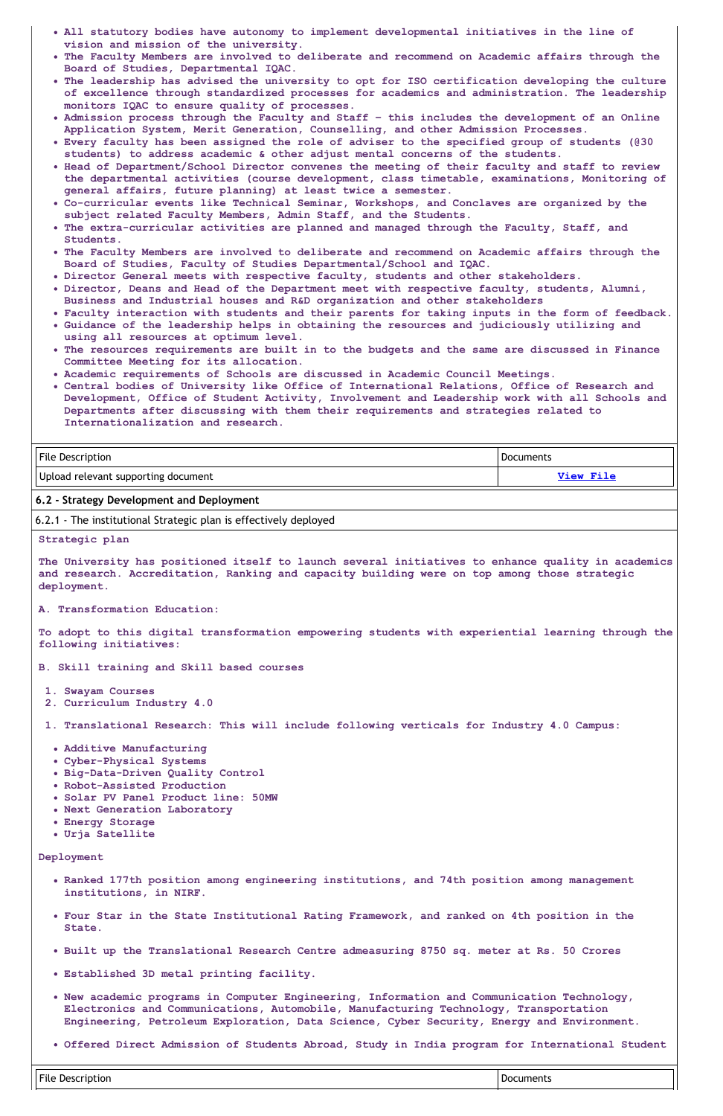- **All statutory bodies have autonomy to implement developmental initiatives in the line of vision and mission of the university.**
- **The Faculty Members are involved to deliberate and recommend on Academic affairs through the Board of Studies, Departmental IQAC.**
- **The leadership has advised the university to opt for ISO certification developing the culture of excellence through standardized processes for academics and administration. The leadership monitors IQAC to ensure quality of processes.**
- **Admission process through the Faculty and Staff – this includes the development of an Online Application System, Merit Generation, Counselling, and other Admission Processes.**
- **Every faculty has been assigned the role of adviser to the specified group of students (@30 students) to address academic & other adjust mental concerns of the students.**
- **Head of Department/School Director convenes the meeting of their faculty and staff to review the departmental activities (course development, class timetable, examinations, Monitoring of general affairs, future planning) at least twice a semester.**
- **Co-curricular events like Technical Seminar, Workshops, and Conclaves are organized by the subject related Faculty Members, Admin Staff, and the Students.**
- **The extra-curricular activities are planned and managed through the Faculty, Staff, and Students.**
- **The Faculty Members are involved to deliberate and recommend on Academic affairs through the Board of Studies, Faculty of Studies Departmental/School and IQAC.**
- **Director General meets with respective faculty, students and other stakeholders.**
- **Director, Deans and Head of the Department meet with respective faculty, students, Alumni, Business and Industrial houses and R&D organization and other stakeholders**
- **Faculty interaction with students and their parents for taking inputs in the form of feedback.**
- **Guidance of the leadership helps in obtaining the resources and judiciously utilizing and using all resources at optimum level.**
- **The resources requirements are built in to the budgets and the same are discussed in Finance Committee Meeting for its allocation.**
- **Academic requirements of Schools are discussed in Academic Council Meetings.**
- **Central bodies of University like Office of International Relations, Office of Research and Development, Office of Student Activity, Involvement and Leadership work with all Schools and Departments after discussing with them their requirements and strategies related to Internationalization and research.**

| <b>File Description</b>             | <b>Documents</b> |
|-------------------------------------|------------------|
| Upload relevant supporting document | View File        |

#### **6.2 - Strategy Development and Deployment**

6.2.1 - The institutional Strategic plan is effectively deployed

#### **Strategic plan**

**The University has positioned itself to launch several initiatives to enhance quality in academics and research. Accreditation, Ranking and capacity building were on top among those strategic deployment.**

**A. Transformation Education:**

**To adopt to this digital transformation empowering students with experiential learning through the following initiatives:**

- **B. Skill training and Skill based courses**
- **1. Swayam Courses**
- **2. Curriculum Industry 4.0**
- **1. Translational Research: This will include following verticals for Industry 4.0 Campus:**
	- **Additive Manufacturing**
	- **Cyber-Physical Systems**
	- **Big-Data-Driven Quality Control**
	- **Robot-Assisted Production**
	- **Solar PV Panel Product line: 50MW**
	- **Next Generation Laboratory**
	- **Energy Storage**
	- **Urja Satellite**

**Deployment**

- **Ranked 177th position among engineering institutions, and 74th position among management institutions, in NIRF.**
- **Four Star in the State Institutional Rating Framework, and ranked on 4th position in the State.**
- **Built up the Translational Research Centre admeasuring 8750 sq. meter at Rs. 50 Crores**
- **Established 3D metal printing facility.**
- **New academic programs in Computer Engineering, Information and Communication Technology, Electronics and Communications, Automobile, Manufacturing Technology, Transportation Engineering, Petroleum Exploration, Data Science, Cyber Security, Energy and Environment.**
- **Offered Direct Admission of Students Abroad, Study in India program for International Student**

File Description Documents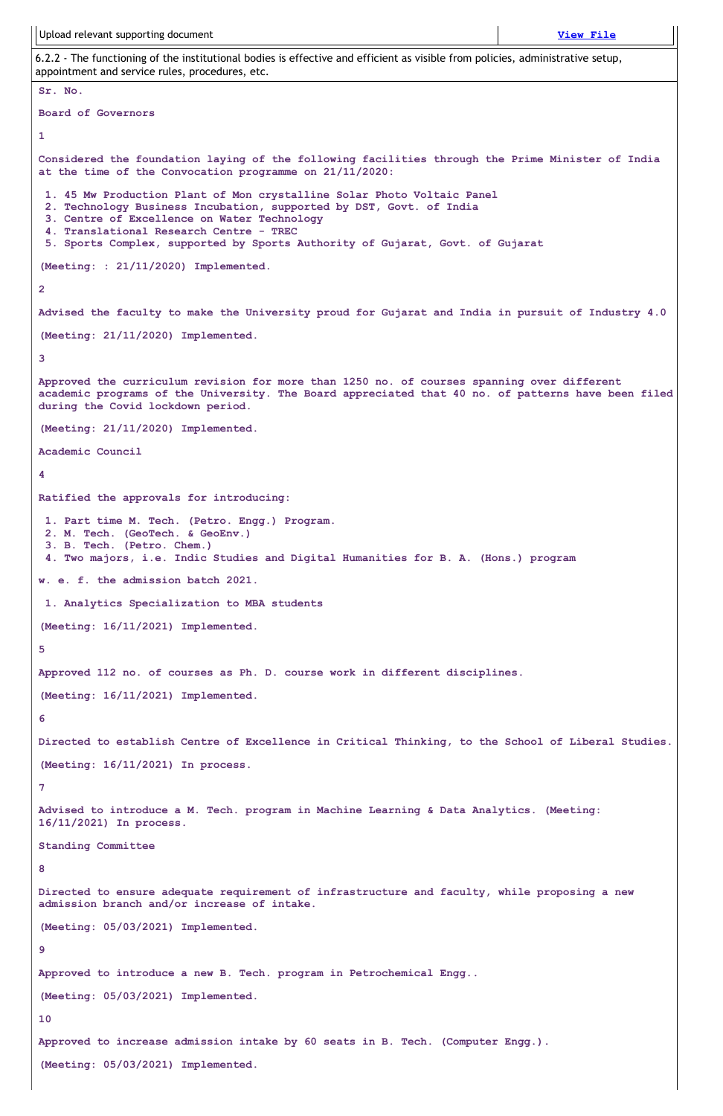Upload relevant supporting document **[View](https://assessmentonline.naac.gov.in/storage/app/public/aqar/14363/14363_395_871.pdf?1649144301) File**

6.2.2 - The functioning of the institutional bodies is effective and efficient as visible from policies, administrative setup, appointment and service rules, procedures, etc.

```
Sr. No.
Board of Governors
1
Considered the foundation laying of the following facilities through the Prime Minister of India
at the time of the Convocation programme on 21/11/2020:
 1. 45 Mw Production Plant of Mon crystalline Solar Photo Voltaic Panel
 2. Technology Business Incubation, supported by DST, Govt. of India
 3. Centre of Excellence on Water Technology
 4. Translational Research Centre - TREC
 5. Sports Complex, supported by Sports Authority of Gujarat, Govt. of Gujarat
(Meeting: : 21/11/2020) Implemented.
2
Advised the faculty to make the University proud for Gujarat and India in pursuit of Industry 4.0
(Meeting: 21/11/2020) Implemented.
3
Approved the curriculum revision for more than 1250 no. of courses spanning over different
academic programs of the University. The Board appreciated that 40 no. of patterns have been filed
during the Covid lockdown period.
(Meeting: 21/11/2020) Implemented.
Academic Council
4
Ratified the approvals for introducing:
 1. Part time M. Tech. (Petro. Engg.) Program.
2. M. Tech. (GeoTech. & GeoEnv.)
 3. B. Tech. (Petro. Chem.)
 4. Two majors, i.e. Indic Studies and Digital Humanities for B. A. (Hons.) program
w. e. f. the admission batch 2021.
 1. Analytics Specialization to MBA students
(Meeting: 16/11/2021) Implemented.
5
Approved 112 no. of courses as Ph. D. course work in different disciplines.
(Meeting: 16/11/2021) Implemented.
6
Directed to establish Centre of Excellence in Critical Thinking, to the School of Liberal Studies.
(Meeting: 16/11/2021) In process.
7
Advised to introduce a M. Tech. program in Machine Learning & Data Analytics. (Meeting:
16/11/2021) In process.
Standing Committee
8
Directed to ensure adequate requirement of infrastructure and faculty, while proposing a new
admission branch and/or increase of intake.
(Meeting: 05/03/2021) Implemented.
9
Approved to introduce a new B. Tech. program in Petrochemical Engg..
(Meeting: 05/03/2021) Implemented.
10
Approved to increase admission intake by 60 seats in B. Tech. (Computer Engg.).
(Meeting: 05/03/2021) Implemented.
```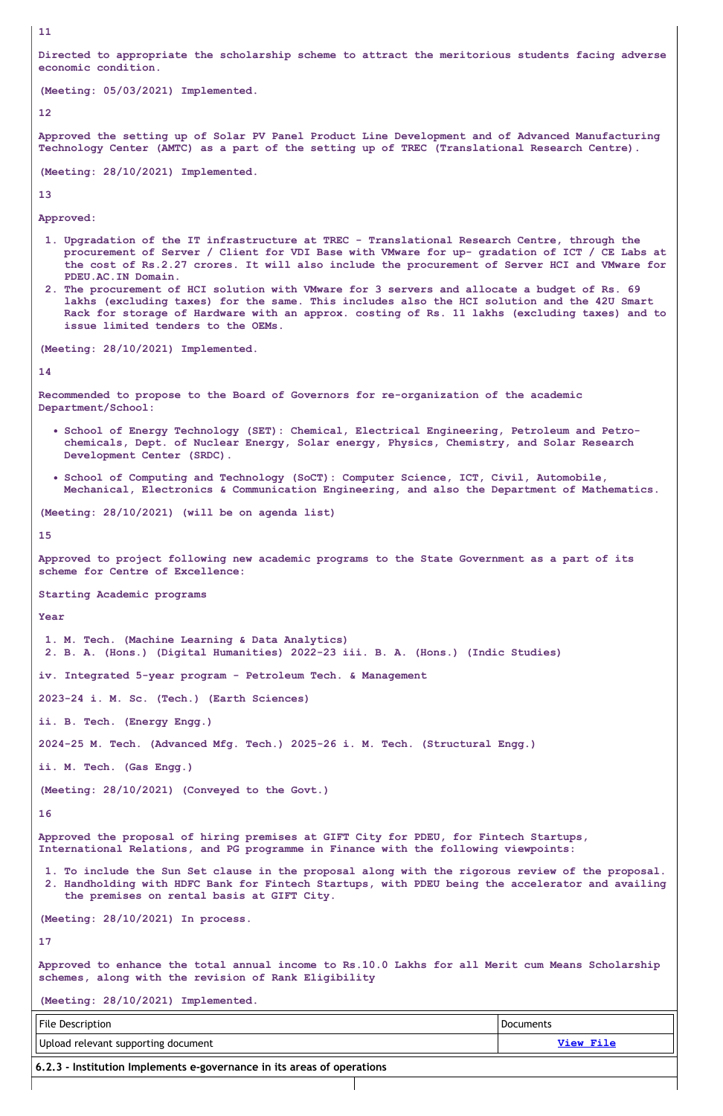**11**

**Directed to appropriate the scholarship scheme to attract the meritorious students facing adverse economic condition.**

```
(Meeting: 05/03/2021) Implemented.
```
**12**

**Approved the setting up of Solar PV Panel Product Line Development and of Advanced Manufacturing Technology Center (AMTC) as a part of the setting up of TREC (Translational Research Centre).**

**(Meeting: 28/10/2021) Implemented.**

**13**

**Approved:**

- **1. Upgradation of the IT infrastructure at TREC - Translational Research Centre, through the** procurement of Server / Client for VDI Base with VMware for up- gradation of ICT / CE Labs at **the cost of Rs.2.27 crores. It will also include the procurement of Server HCI and VMware for PDEU.AC.IN Domain.**
- **2. The procurement of HCI solution with VMware for 3 servers and allocate a budget of Rs. 69 lakhs (excluding taxes) for the same. This includes also the HCI solution and the 42U Smart Rack for storage of Hardware with an approx. costing of Rs. 11 lakhs (excluding taxes) and to issue limited tenders to the OEMs.**

**(Meeting: 28/10/2021) Implemented.**

```
14
```
**Recommended to propose to the Board of Governors for re-organization of the academic Department/School:**

- **School of Energy Technology (SET): Chemical, Electrical Engineering, Petroleum and Petrochemicals, Dept. of Nuclear Energy, Solar energy, Physics, Chemistry, and Solar Research Development Center (SRDC).**
- **School of Computing and Technology (SoCT): Computer Science, ICT, Civil, Automobile, Mechanical, Electronics & Communication Engineering, and also the Department of Mathematics.**

**(Meeting: 28/10/2021) (will be on agenda list)**

**15**

**Approved to project following new academic programs to the State Government as a part of its scheme for Centre of Excellence:**

**Starting Academic programs**

**Year**

**1. M. Tech. (Machine Learning & Data Analytics) 2. B. A. (Hons.) (Digital Humanities) 2022-23 iii. B. A. (Hons.) (Indic Studies) iv. Integrated 5-year program - Petroleum Tech. & Management 2023-24 i. M. Sc. (Tech.) (Earth Sciences) ii. B. Tech. (Energy Engg.) 2024-25 M. Tech. (Advanced Mfg. Tech.) 2025-26 i. M. Tech. (Structural Engg.) ii. M. Tech. (Gas Engg.) (Meeting: 28/10/2021) (Conveyed to the Govt.)**

**16**

**Approved the proposal of hiring premises at GIFT City for PDEU, for Fintech Startups, International Relations, and PG programme in Finance with the following viewpoints:**

**1. To include the Sun Set clause in the proposal along with the rigorous review of the proposal. 2. Handholding with HDFC Bank for Fintech Startups, with PDEU being the accelerator and availing the premises on rental basis at GIFT City.**

**(Meeting: 28/10/2021) In process.**

**17**

**Approved to enhance the total annual income to Rs.10.0 Lakhs for all Merit cum Means Scholarship schemes, along with the revision of Rank Eligibility**

**(Meeting: 28/10/2021) Implemented.**

| File Description                                                               | Documents |
|--------------------------------------------------------------------------------|-----------|
| Upload relevant supporting document                                            | View File |
| $\vert$ 6.2.3 - Institution Implements e-governance in its areas of operations |           |
|                                                                                |           |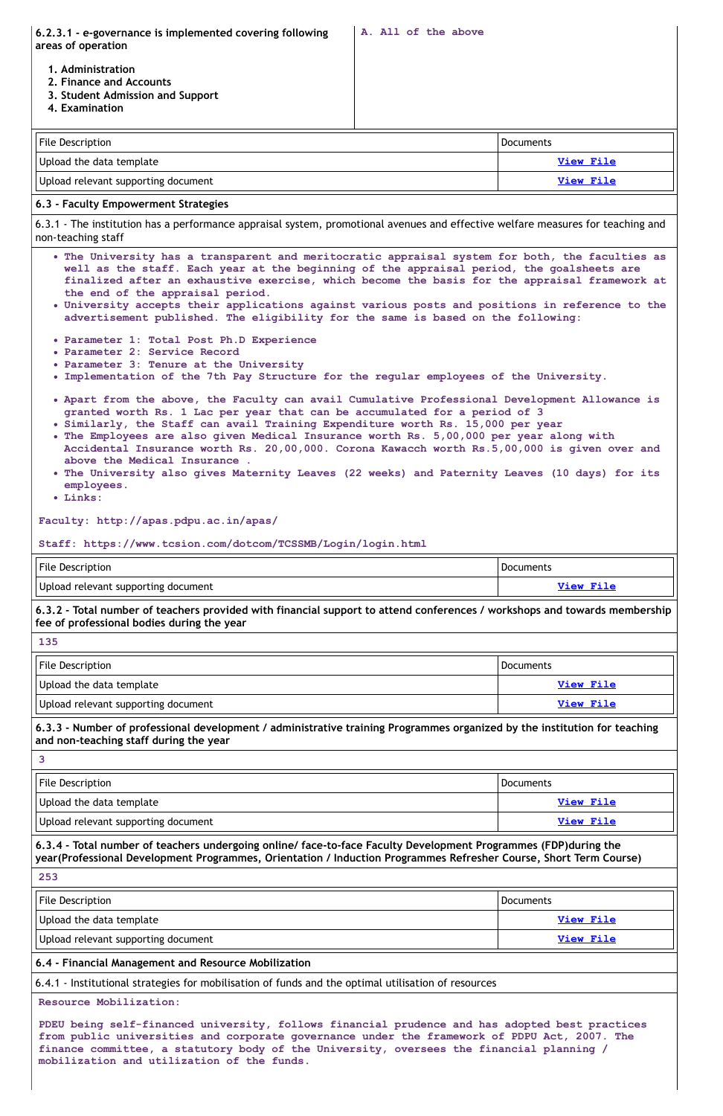**6.2.3.1 - e-governance is implemented covering following areas of operation**

**1. Administration**

- **2. Finance and Accounts**
- **3. Student Admission and Support**
- **4. Examination**

| File Description                    | <b>Documents</b> |
|-------------------------------------|------------------|
| Upload the data template            | View File        |
| Upload relevant supporting document | View File        |

# **6.3 - Faculty Empowerment Strategies**

6.3.1 - The institution has a performance appraisal system, promotional avenues and effective welfare measures for teaching and non-teaching staff

6.3.2 - Total number of teachers provided with financial support to attend conferences / workshops and towards membership **fee of professional bodies during the year**

- **The University has a transparent and meritocratic appraisal system for both, the faculties as well as the staff. Each year at the beginning of the appraisal period, the goalsheets are finalized after an exhaustive exercise, which become the basis for the appraisal framework at the end of the appraisal period.**
- **University accepts their applications against various posts and positions in reference to the advertisement published. The eligibility for the same is based on the following:**
- **Parameter 1: Total Post Ph.D Experience**
- **Parameter 2: Service Record**
- **Parameter 3: Tenure at the University**
- **Implementation of the 7th Pay Structure for the regular employees of the University.**
- **Apart from the above, the Faculty can avail Cumulative Professional Development Allowance is granted worth Rs. 1 Lac per year that can be accumulated for a period of 3**
- **Similarly, the Staff can avail Training Expenditure worth Rs. 15,000 per year**
- **The Employees are also given Medical Insurance worth Rs. 5,00,000 per year along with Accidental Insurance worth Rs. 20,00,000. Corona Kawacch worth Rs.5,00,000 is given over and above the Medical Insurance .**
- **The University also gives Maternity Leaves (22 weeks) and Paternity Leaves (10 days) for its employees.**
- **Links:**

6.3.3 - Number of professional development / administrative training Programmes organized by the institution for teaching **and non-teaching staff during the year**

| File Description         | Documents                                                                                                                                                                                                                                                                                                                                                                            |
|--------------------------|--------------------------------------------------------------------------------------------------------------------------------------------------------------------------------------------------------------------------------------------------------------------------------------------------------------------------------------------------------------------------------------|
| Upload the data template | View File                                                                                                                                                                                                                                                                                                                                                                            |
| $\Box$                   | $\overline{M}$ $\overline{M}$ $\overline{M}$ $\overline{M}$ $\overline{M}$ $\overline{M}$ $\overline{M}$ $\overline{M}$ $\overline{M}$ $\overline{M}$ $\overline{M}$ $\overline{M}$ $\overline{M}$ $\overline{M}$ $\overline{M}$ $\overline{M}$ $\overline{M}$ $\overline{M}$ $\overline{M}$ $\overline{M}$ $\overline{M}$ $\overline{M}$ $\overline{M}$ $\overline{M}$ $\overline{$ |

**Faculty: http://apas.pdpu.ac.in/apas/**

**Staff: https://www.tcsion.com/dotcom/TCSSMB/Login/login.html**

| <b>File Description</b>             | <b>Documents</b> |
|-------------------------------------|------------------|
| Upload relevant supporting document | <b>View File</b> |

| 135                                 |                  |
|-------------------------------------|------------------|
| <b>File Description</b>             | Documents        |
| Upload the data template            | View File        |
| Upload relevant supporting document | <b>View File</b> |

**3**

| Upload relevant supporting document | <b>View File</b> |
|-------------------------------------|------------------|
|-------------------------------------|------------------|

**6.3.4 - Total number of teachers undergoing online/ face-to-face Faculty Development Programmes (FDP)during the year(Professional Development Programmes, Orientation / Induction Programmes Refresher Course, Short Term Course)**

**253**

| ددے                                 |                  |
|-------------------------------------|------------------|
| File Description                    | <b>Documents</b> |
| Upload the data template            | View File        |
| Upload relevant supporting document | View File        |

# **6.4 - Financial Management and Resource Mobilization**

6.4.1 - Institutional strategies for mobilisation of funds and the optimal utilisation of resources

#### **Resource Mobilization:**

**PDEU being self-financed university, follows financial prudence and has adopted best practices from public universities and corporate governance under the framework of PDPU Act, 2007. The finance committee, a statutory body of the University, oversees the financial planning / mobilization and utilization of the funds.**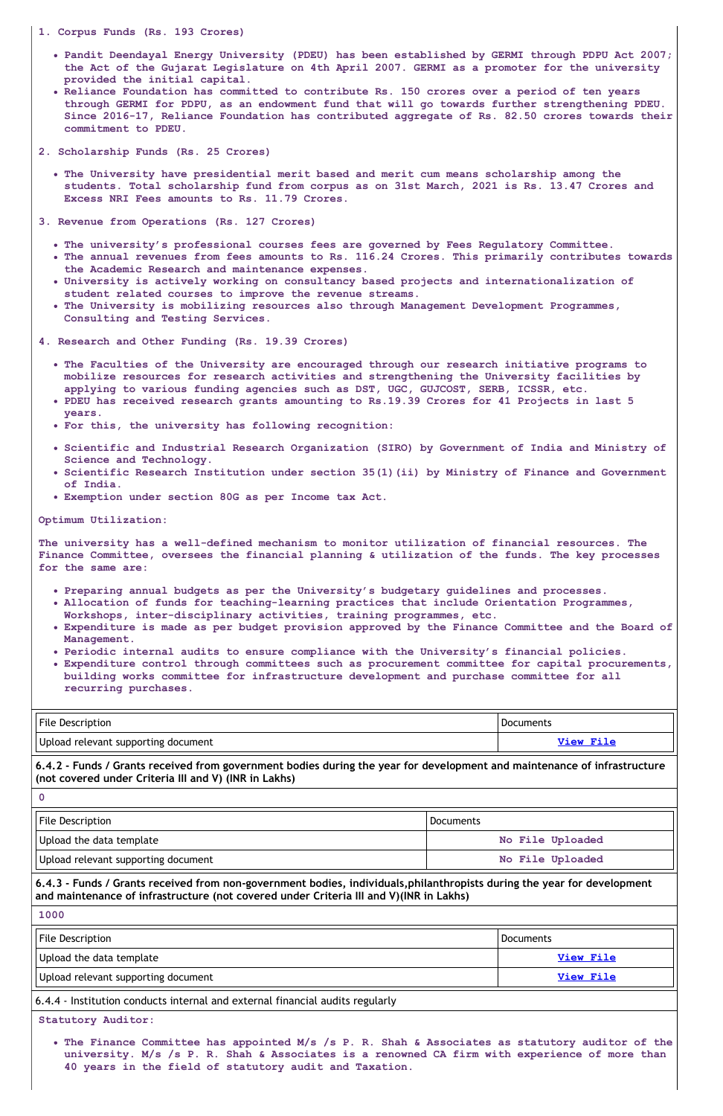#### **1. Corpus Funds (Rs. 193 Crores)**

- **Pandit Deendayal Energy University (PDEU) has been established by GERMI through PDPU Act 2007; the Act of the Gujarat Legislature on 4th April 2007. GERMI as a promoter for the university provided the initial capital.**
- **Reliance Foundation has committed to contribute Rs. 150 crores over a period of ten years through GERMI for PDPU, as an endowment fund that will go towards further strengthening PDEU. Since 2016-17, Reliance Foundation has contributed aggregate of Rs. 82.50 crores towards their commitment to PDEU.**
- **2. Scholarship Funds (Rs. 25 Crores)**
	- **The University have presidential merit based and merit cum means scholarship among the students. Total scholarship fund from corpus as on 31st March, 2021 is Rs. 13.47 Crores and Excess NRI Fees amounts to Rs. 11.79 Crores.**

**3. Revenue from Operations (Rs. 127 Crores)**

- **The university's professional courses fees are governed by Fees Regulatory Committee.**
- **The annual revenues from fees amounts to Rs. 116.24 Crores. This primarily contributes towards the Academic Research and maintenance expenses.**
- **University is actively working on consultancy based projects and internationalization of student related courses to improve the revenue streams.**
- **The University is mobilizing resources also through Management Development Programmes, Consulting and Testing Services.**
- **4. Research and Other Funding (Rs. 19.39 Crores)**
	- **The Faculties of the University are encouraged through our research initiative programs to mobilize resources for research activities and strengthening the University facilities by applying to various funding agencies such as DST, UGC, GUJCOST, SERB, ICSSR, etc.**
	- **PDEU has received research grants amounting to Rs.19.39 Crores for 41 Projects in last 5 years.**
	- **For this, the university has following recognition:**
	- **Scientific and Industrial Research Organization (SIRO) by Government of India and Ministry of Science and Technology.**
	- **Scientific Research Institution under section 35(1)(ii) by Ministry of Finance and Government of India.**
	- **Exemption under section 80G as per Income tax Act.**

| <b>File Description</b>             | <b>Documents</b> |
|-------------------------------------|------------------|
| Upload relevant supporting document | View File        |

6.4.2 - Funds / Grants received from government bodies during the year for development and maintenance of infrastructure **(not covered under Criteria III and V) (INR in Lakhs)**

| II File Description | $110$ cumante |
|---------------------|---------------|
|                     |               |
|                     |               |

#### **Optimum Utilization:**

**The university has a well-defined mechanism to monitor utilization of financial resources. The Finance Committee, oversees the financial planning & utilization of the funds. The key processes for the same are:**

- **Preparing annual budgets as per the University's budgetary guidelines and processes.**
- **Allocation of funds for teaching-learning practices that include Orientation Programmes, Workshops, inter-disciplinary activities, training programmes, etc.**
- **Expenditure is made as per budget provision approved by the Finance Committee and the Board of Management.**
- **Periodic internal audits to ensure compliance with the University's financial policies.**
- **Expenditure control through committees such as procurement committee for capital procurements, building works committee for infrastructure development and purchase committee for all recurring purchases.**

**0**

| <b>File Description</b>                                                                                                                                                                                            | Documents        |  |
|--------------------------------------------------------------------------------------------------------------------------------------------------------------------------------------------------------------------|------------------|--|
| Upload the data template                                                                                                                                                                                           | No File Uploaded |  |
| Upload relevant supporting document                                                                                                                                                                                | No File Uploaded |  |
| 6.4.3 - Funds / Grants received from non-government bodies, individuals, philanthropists during the year for development<br>and maintenance of infrastructure (not covered under Criteria III and V)(INR in Lakhs) |                  |  |
| 1000                                                                                                                                                                                                               |                  |  |
| <b>File Description</b>                                                                                                                                                                                            | <b>Documents</b> |  |
| Upload the data template                                                                                                                                                                                           | <b>View File</b> |  |
| Upload relevant supporting document                                                                                                                                                                                | <b>View File</b> |  |
| 6.4.4 - Institution conducts internal and external financial audits regularly                                                                                                                                      |                  |  |
| <b>Statutory Auditor:</b>                                                                                                                                                                                          |                  |  |
| . The Finance Committee has appointed M/s /s P. R. Shah & Associates as statutory auditor of the<br>university. M/s /s P. R. Shah & Associates is a renowned CA firm with experience of more than                  |                  |  |

**40 years in the field of statutory audit and Taxation.**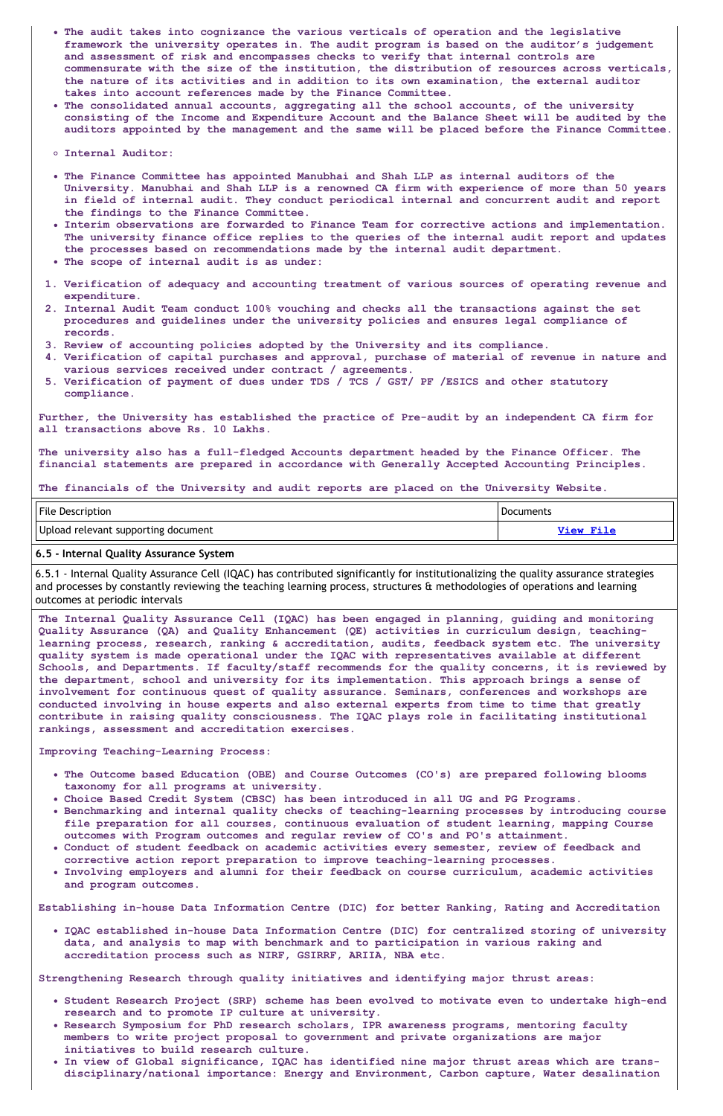- **The audit takes into cognizance the various verticals of operation and the legislative framework the university operates in. The audit program is based on the auditor's judgement and assessment of risk and encompasses checks to verify that internal controls are commensurate with the size of the institution, the distribution of resources across verticals, the nature of its activities and in addition to its own examination, the external auditor takes into account references made by the Finance Committee.**
- **The consolidated annual accounts, aggregating all the school accounts, of the university consisting of the Income and Expenditure Account and the Balance Sheet will be audited by the auditors appointed by the management and the same will be placed before the Finance Committee.**
- **Internal Auditor:**
- **The Finance Committee has appointed Manubhai and Shah LLP as internal auditors of the University. Manubhai and Shah LLP is a renowned CA firm with experience of more than 50 years in field of internal audit. They conduct periodical internal and concurrent audit and report the findings to the Finance Committee.**
- **Interim observations are forwarded to Finance Team for corrective actions and implementation. The university finance office replies to the queries of the internal audit report and updates the processes based on recommendations made by the internal audit department.**
- **The scope of internal audit is as under:**
- **1. Verification of adequacy and accounting treatment of various sources of operating revenue and expenditure.**
- **2. Internal Audit Team conduct 100% vouching and checks all the transactions against the set procedures and guidelines under the university policies and ensures legal compliance of records.**
- **3. Review of accounting policies adopted by the University and its compliance.**
- **4. Verification of capital purchases and approval, purchase of material of revenue in nature and various services received under contract / agreements.**
- **5. Verification of payment of dues under TDS / TCS / GST/ PF /ESICS and other statutory compliance.**

| <b>File Description</b>             | <b>Documents</b> |
|-------------------------------------|------------------|
| Upload relevant supporting document | View File        |

**Further, the University has established the practice of Pre-audit by an independent CA firm for all transactions above Rs. 10 Lakhs.**

**The university also has a full-fledged Accounts department headed by the Finance Officer. The financial statements are prepared in accordance with Generally Accepted Accounting Principles.**

**The financials of the University and audit reports are placed on the University Website.**

#### **6.5 - Internal Quality Assurance System**

6.5.1 - Internal Quality Assurance Cell (IQAC) has contributed significantly for institutionalizing the quality assurance strategies and processes by constantly reviewing the teaching learning process, structures & methodologies of operations and learning outcomes at periodic intervals

**The Internal Quality Assurance Cell (IQAC) has been engaged in planning, guiding and monitoring Quality Assurance (QA) and Quality Enhancement (QE) activities in curriculum design, teachinglearning process, research, ranking & accreditation, audits, feedback system etc. The university quality system is made operational under the IQAC with representatives available at different Schools, and Departments. If faculty/staff recommends for the quality concerns, it is reviewed by the department, school and university for its implementation. This approach brings a sense of involvement for continuous quest of quality assurance. Seminars, conferences and workshops are conducted involving in house experts and also external experts from time to time that greatly contribute in raising quality consciousness. The IQAC plays role in facilitating institutional rankings, assessment and accreditation exercises.**

**Improving Teaching-Learning Process:**

- **The Outcome based Education (OBE) and Course Outcomes (CO's) are prepared following blooms taxonomy for all programs at university.**
- **Choice Based Credit System (CBSC) has been introduced in all UG and PG Programs.**
- **Benchmarking and internal quality checks of teaching-learning processes by introducing course**
	- **file preparation for all courses, continuous evaluation of student learning, mapping Course outcomes with Program outcomes and regular review of CO's and PO's attainment.**
- **Conduct of student feedback on academic activities every semester, review of feedback and corrective action report preparation to improve teaching-learning processes.**
- **Involving employers and alumni for their feedback on course curriculum, academic activities and program outcomes.**

**Establishing in-house Data Information Centre (DIC) for better Ranking, Rating and Accreditation**

**IQAC established in-house Data Information Centre (DIC) for centralized storing of university data, and analysis to map with benchmark and to participation in various raking and accreditation process such as NIRF, GSIRRF, ARIIA, NBA etc.**

**Strengthening Research through quality initiatives and identifying major thrust areas:**

- **Student Research Project (SRP) scheme has been evolved to motivate even to undertake high-end research and to promote IP culture at university.**
- **Research Symposium for PhD research scholars, IPR awareness programs, mentoring faculty members to write project proposal to government and private organizations are major initiatives to build research culture.**
- **In view of Global significance, IQAC has identified nine major thrust areas which are transdisciplinary/national importance: Energy and Environment, Carbon capture, Water desalination**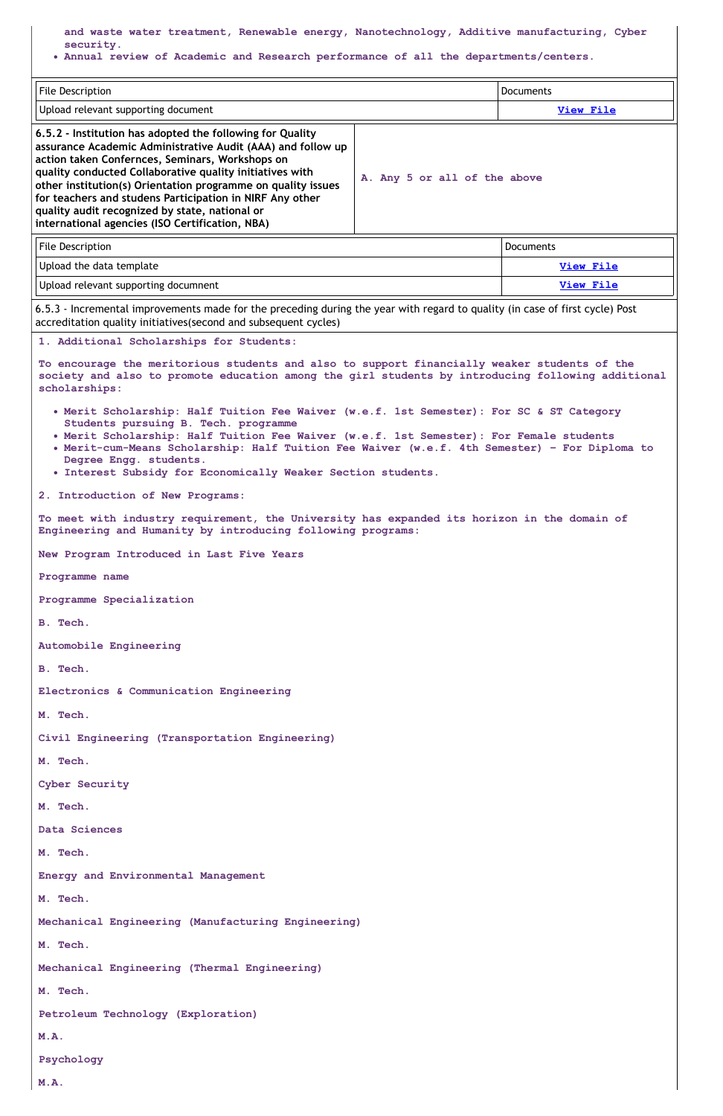**and waste water treatment, Renewable energy, Nanotechnology, Additive manufacturing, Cyber security.**

**Annual review of Academic and Research performance of all the departments/centers.**

| File Description                                                                                                                                                                                                                                                                                                                                                                                                                                                         |                              | <b>Documents</b> |
|--------------------------------------------------------------------------------------------------------------------------------------------------------------------------------------------------------------------------------------------------------------------------------------------------------------------------------------------------------------------------------------------------------------------------------------------------------------------------|------------------------------|------------------|
| Upload relevant supporting document                                                                                                                                                                                                                                                                                                                                                                                                                                      |                              | <b>View File</b> |
| 6.5.2 - Institution has adopted the following for Quality<br>assurance Academic Administrative Audit (AAA) and follow up<br>action taken Confernces, Seminars, Workshops on<br>quality conducted Collaborative quality initiatives with<br>other institution(s) Orientation programme on quality issues<br>for teachers and studens Participation in NIRF Any other<br>quality audit recognized by state, national or<br>international agencies (ISO Certification, NBA) | A. Any 5 or all of the above |                  |
| <b>File Description</b>                                                                                                                                                                                                                                                                                                                                                                                                                                                  |                              | <b>Documents</b> |
| Upload the data template                                                                                                                                                                                                                                                                                                                                                                                                                                                 |                              | View File        |

Upload relevant supporting documnent **View [File](https://assessmentonline.naac.gov.in/storage/app/public/aqar/14363/14363_407_1747.pdf?1649144301)**

6.5.3 - Incremental improvements made for the preceding during the year with regard to quality (in case of first cycle) Post accreditation quality initiatives(second and subsequent cycles)

**1. Additional Scholarships for Students:**

**To encourage the meritorious students and also to support financially weaker students of the society and also to promote education among the girl students by introducing following additional scholarships:**

- **Merit Scholarship: Half Tuition Fee Waiver (w.e.f. 1st Semester): For SC & ST Category Students pursuing B. Tech. programme**
- **Merit Scholarship: Half Tuition Fee Waiver (w.e.f. 1st Semester): For Female students**
- **Merit-cum-Means Scholarship: Half Tuition Fee Waiver (w.e.f. 4th Semester) – For Diploma to Degree Engg. students.**
- **Interest Subsidy for Economically Weaker Section students.**

**2. Introduction of New Programs:**

**To meet with industry requirement, the University has expanded its horizon in the domain of Engineering and Humanity by introducing following programs:**

**New Program Introduced in Last Five Years**

**Programme name**

**Programme Specialization**

**B. Tech.**

**Automobile Engineering**

**B. Tech.**

**Electronics & Communication Engineering**

**M. Tech.**

**Civil Engineering (Transportation Engineering)**

**M. Tech.**

**Cyber Security**

**M. Tech.**

#### **Data Sciences**

#### **M. Tech.**

**Energy and Environmental Management**

### **M. Tech.**

**Mechanical Engineering (Manufacturing Engineering)**

# **M. Tech.**

```
Mechanical Engineering (Thermal Engineering)
```
**M. Tech.**

```
Petroleum Technology (Exploration)
```
# **M.A.**

**Psychology**

**M.A.**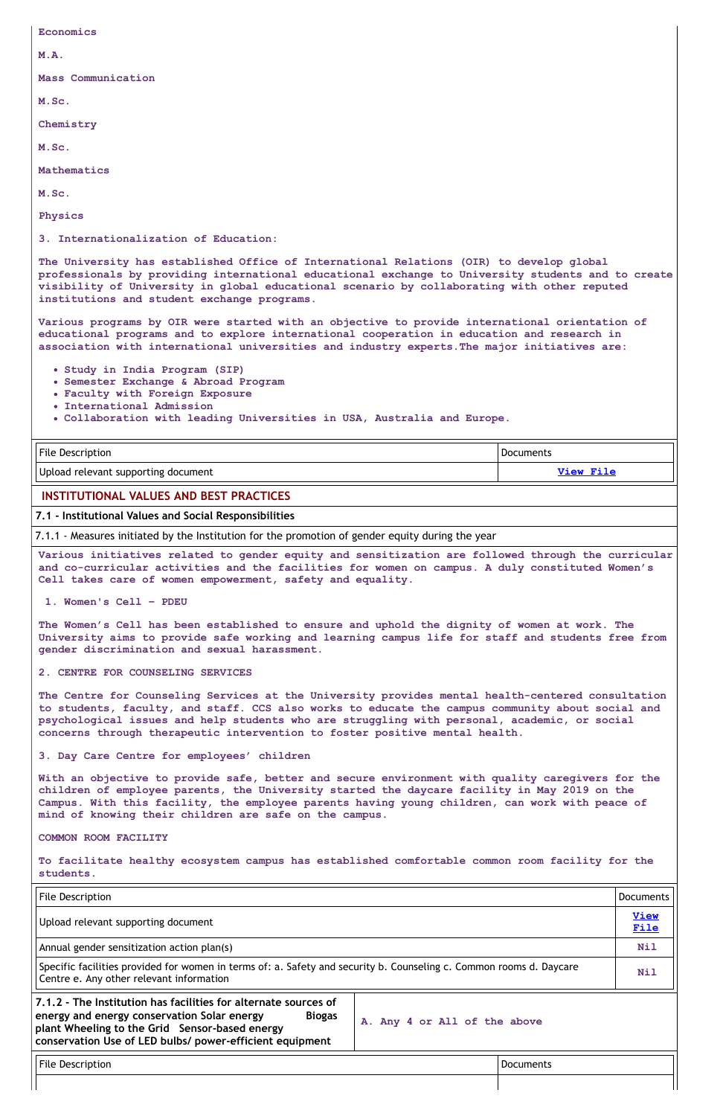**Economics M.A. Mass Communication M.Sc. Chemistry M.Sc. Mathematics M.Sc. Physics 3. Internationalization of Education: The University has established Office of International Relations (OIR) to develop global**

**professionals by providing international educational exchange to University students and to create visibility of University in global educational scenario by collaborating with other reputed institutions and student exchange programs.**

| <b>File Description</b>             | <b>Documents</b> |
|-------------------------------------|------------------|
| Upload relevant supporting document | <b>View File</b> |

**Various programs by OIR were started with an objective to provide international orientation of educational programs and to explore international cooperation in education and research in association with international universities and industry experts.The major initiatives are:**

- **Study in India Program (SIP)**
- **Semester Exchange & Abroad Program**
- **Faculty with Foreign Exposure**
- **International Admission**
- **Collaboration with leading Universities in USA, Australia and Europe.**

# **INSTITUTIONAL VALUES AND BEST PRACTICES**

**7.1 - Institutional Values and Social Responsibilities**

7.1.1 - Measures initiated by the Institution for the promotion of gender equity during the year

**Various initiatives related to gender equity and sensitization are followed through the curricular and co-curricular activities and the facilities for women on campus. A duly constituted Women's Cell takes care of women empowerment, safety and equality.**

**1. Women's Cell – PDEU**

**The Women's Cell has been established to ensure and uphold the dignity of women at work. The University aims to provide safe working and learning campus life for staff and students free from gender discrimination and sexual harassment.**

# **2. CENTRE FOR COUNSELING SERVICES**

**The Centre for Counseling Services at the University provides mental health-centered consultation to students, faculty, and staff. CCS also works to educate the campus community about social and psychological issues and help students who are struggling with personal, academic, or social concerns through therapeutic intervention to foster positive mental health.**

#### **3. Day Care Centre for employees' children**

**With an objective to provide safe, better and secure environment with quality caregivers for the children of employee parents, the University started the daycare facility in May 2019 on the Campus. With this facility, the employee parents having young children, can work with peace of mind of knowing their children are safe on the campus.**

**COMMON ROOM FACILITY**

**To facilitate healthy ecosystem campus has established comfortable common room facility for the students.**

| <b>File Description</b>                                                                                                                                                                                                                       |                              |                  | <b>Documents</b>    |
|-----------------------------------------------------------------------------------------------------------------------------------------------------------------------------------------------------------------------------------------------|------------------------------|------------------|---------------------|
| Upload relevant supporting document                                                                                                                                                                                                           |                              |                  | <b>View</b><br>File |
| Annual gender sensitization action plan(s)                                                                                                                                                                                                    |                              |                  | Nil                 |
| Specific facilities provided for women in terms of: a. Safety and security b. Counseling c. Common rooms d. Daycare<br>Centre e. Any other relevant information                                                                               |                              |                  | Nil                 |
| 7.1.2 - The Institution has facilities for alternate sources of<br>energy and energy conservation Solar energy<br><b>Biogas</b><br>plant Wheeling to the Grid Sensor-based energy<br>conservation Use of LED bulbs/ power-efficient equipment | A. Any 4 or All of the above |                  |                     |
| <b>File Description</b>                                                                                                                                                                                                                       |                              | <b>Documents</b> |                     |
|                                                                                                                                                                                                                                               |                              |                  |                     |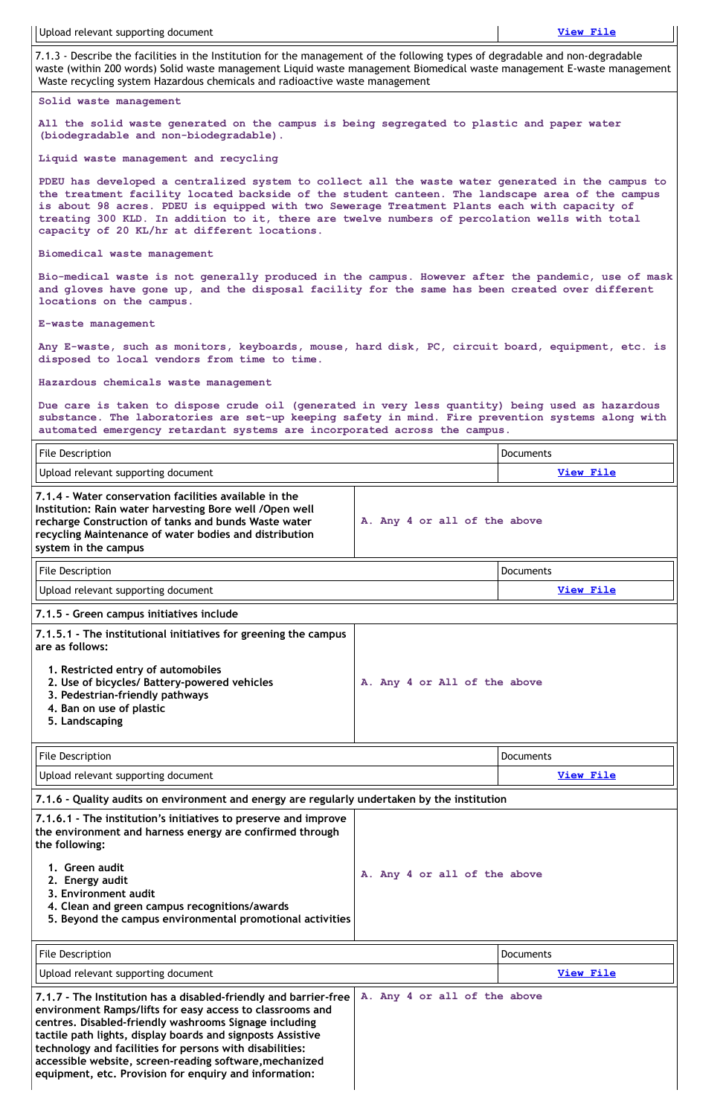7.1.3 - Describe the facilities in the Institution for the management of the following types of degradable and non-degradable waste (within 200 words) Solid waste management Liquid waste management Biomedical waste management E-waste management Waste recycling system Hazardous chemicals and radioactive waste management

#### **Solid waste management**

**All the solid waste generated on the campus is being segregated to plastic and paper water (biodegradable and non-biodegradable).**

**Liquid waste management and recycling**

**PDEU has developed a centralized system to collect all the waste water generated in the campus to the treatment facility located backside of the student canteen. The landscape area of the campus is about 98 acres. PDEU is equipped with two Sewerage Treatment Plants each with capacity of treating 300 KLD. In addition to it, there are twelve numbers of percolation wells with total capacity of 20 KL/hr at different locations.**

**Biomedical waste management**

**Bio-medical waste is not generally produced in the campus. However after the pandemic, use of mask and gloves have gone up, and the disposal facility for the same has been created over different locations on the campus.**

**E-waste management**

| File Description                                                                                                                                                                                                                                             |                              | <b>Documents</b> |
|--------------------------------------------------------------------------------------------------------------------------------------------------------------------------------------------------------------------------------------------------------------|------------------------------|------------------|
| Upload relevant supporting document                                                                                                                                                                                                                          |                              | <b>View File</b> |
| 7.1.4 - Water conservation facilities available in the<br>Institution: Rain water harvesting Bore well / Open well<br>recharge Construction of tanks and bunds Waste water<br>recycling Maintenance of water bodies and distribution<br>system in the campus | A. Any 4 or all of the above |                  |
| <b>File Description</b>                                                                                                                                                                                                                                      |                              | <b>Documents</b> |
| Upload relevant supporting document                                                                                                                                                                                                                          |                              | View File        |
| 7.1.5 - Green campus initiatives include                                                                                                                                                                                                                     |                              |                  |
| 7.1.5.1 - The institutional initiatives for greening the campus<br>are as follows:                                                                                                                                                                           |                              |                  |
| 1. Restricted entry of automobiles<br>2. Use of bicycles/ Battery-powered vehicles<br>3. Pedestrian-friendly pathways<br>4. Ban on use of plastic<br>5. Landscaping                                                                                          | A. Any 4 or All of the above |                  |
| File Description                                                                                                                                                                                                                                             |                              | Documents        |
| Upload relevant supporting document                                                                                                                                                                                                                          |                              | <b>View File</b> |
| 7.1.6 - Quality audits on environment and energy are regularly undertaken by the institution                                                                                                                                                                 |                              |                  |

**Any E-waste, such as monitors, keyboards, mouse, hard disk, PC, circuit board, equipment, etc. is disposed to local vendors from time to time.**

**Hazardous chemicals waste management**

**Due care is taken to dispose crude oil (generated in very less quantity) being used as hazardous substance. The laboratories are set-up keeping safety in mind. Fire prevention systems along with automated emergency retardant systems are incorporated across the campus.**

**7.1.6.1 - The institution's initiatives to preserve and improve**

| 7.1.7 - The Institution has a disabled-friendly and barrier-free<br>environment Ramps/lifts for easy access to classrooms and<br>centres. Disabled-friendly washrooms Signage including                                                               | A. Any 4 or all of the above |                  |
|-------------------------------------------------------------------------------------------------------------------------------------------------------------------------------------------------------------------------------------------------------|------------------------------|------------------|
| Upload relevant supporting document                                                                                                                                                                                                                   |                              | <b>View File</b> |
| File Description                                                                                                                                                                                                                                      |                              | <b>Documents</b> |
| the environment and harness energy are confirmed through<br>the following:<br>1. Green audit<br>2. Energy audit<br>3. Environment audit<br>4. Clean and green campus recognitions/awards<br>5. Beyond the campus environmental promotional activities | A. Any 4 or all of the above |                  |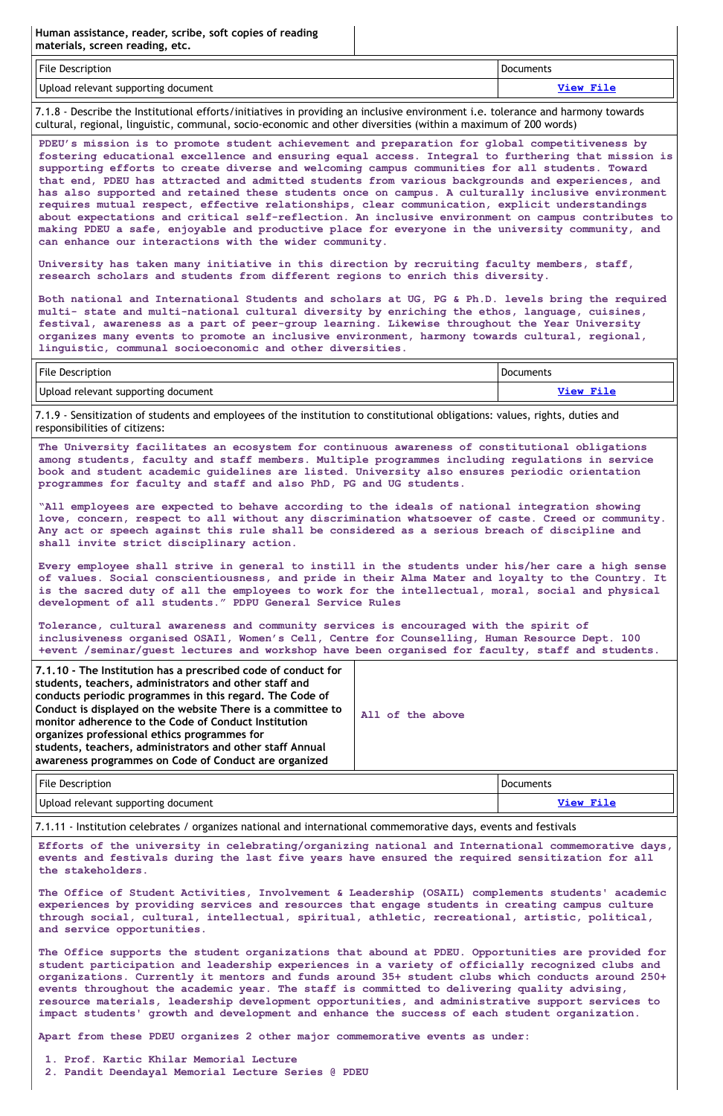# **Human assistance, reader, scribe, soft copies of reading materials, screen reading, etc.**

| <b>File Description</b>             | <b>Documents</b> |
|-------------------------------------|------------------|
| Upload relevant supporting document | T1.0M            |

7.1.8 - Describe the Institutional efforts/initiatives in providing an inclusive environment i.e. tolerance and harmony towards cultural, regional, linguistic, communal, socio-economic and other diversities (within a maximum of 200 words)

**PDEU's mission is to promote student achievement and preparation for global competitiveness by fostering educational excellence and ensuring equal access. Integral to furthering that mission is supporting efforts to create diverse and welcoming campus communities for all students. Toward that end, PDEU has attracted and admitted students from various backgrounds and experiences, and has also supported and retained these students once on campus. A culturally inclusive environment requires mutual respect, effective relationships, clear communication, explicit understandings about expectations and critical self-reflection. An inclusive environment on campus contributes to making PDEU a safe, enjoyable and productive place for everyone in the university community, and can enhance our interactions with the wider community.**

**University has taken many initiative in this direction by recruiting faculty members, staff, research scholars and students from different regions to enrich this diversity.**

**Both national and International Students and scholars at UG, PG & Ph.D. levels bring the required multi- state and multi-national cultural diversity by enriching the ethos, language, cuisines, festival, awareness as a part of peer-group learning. Likewise throughout the Year University organizes many events to promote an inclusive environment, harmony towards cultural, regional, linguistic, communal socioeconomic and other diversities.**

| File Description                    | Documents |
|-------------------------------------|-----------|
| Upload relevant supporting document | View File |

| File Description                    | Documents |
|-------------------------------------|-----------|
| Upload relevant supporting document | View File |

7.1.9 - Sensitization of students and employees of the institution to constitutional obligations: values, rights, duties and responsibilities of citizens:

**The University facilitates an ecosystem for continuous awareness of constitutional obligations among students, faculty and staff members. Multiple programmes including regulations in service book and student academic guidelines are listed. University also ensures periodic orientation programmes for faculty and staff and also PhD, PG and UG students.**

**"All employees are expected to behave according to the ideals of national integration showing love, concern, respect to all without any discrimination whatsoever of caste. Creed or community. Any act or speech against this rule shall be considered as a serious breach of discipline and shall invite strict disciplinary action.**

**Every employee shall strive in general to instill in the students under his/her care a high sense of values. Social conscientiousness, and pride in their Alma Mater and loyalty to the Country. It is the sacred duty of all the employees to work for the intellectual, moral, social and physical development of all students." PDPU General Service Rules**

**Tolerance, cultural awareness and community services is encouraged with the spirit of inclusiveness organised OSAIl, Women's Cell, Centre for Counselling, Human Resource Dept. 100 +event /seminar/guest lectures and workshop have been organised for faculty, staff and students.**

| 7.1.10 - The Institution has a prescribed code of conduct for<br>students, teachers, administrators and other staff and<br>conducts periodic programmes in this regard. The Code of<br>Conduct is displayed on the website There is a committee to<br>monitor adherence to the Code of Conduct Institution<br>organizes professional ethics programmes for<br>students, teachers, administrators and other staff Annual<br>awareness programmes on Code of Conduct are organized | All of the above |
|----------------------------------------------------------------------------------------------------------------------------------------------------------------------------------------------------------------------------------------------------------------------------------------------------------------------------------------------------------------------------------------------------------------------------------------------------------------------------------|------------------|
|                                                                                                                                                                                                                                                                                                                                                                                                                                                                                  |                  |

7.1.11 - Institution celebrates / organizes national and international commemorative days, events and festivals

**Efforts of the university in celebrating/organizing national and International commemorative days, events and festivals during the last five years have ensured the required sensitization for all the stakeholders.**

**The Office of Student Activities, Involvement & Leadership (OSAIL) complements students' academic experiences by providing services and resources that engage students in creating campus culture through social, cultural, intellectual, spiritual, athletic, recreational, artistic, political, and service opportunities.**

**The Office supports the student organizations that abound at PDEU. Opportunities are provided for student participation and leadership experiences in a variety of officially recognized clubs and organizations. Currently it mentors and funds around 35+ student clubs which conducts around 250+ events throughout the academic year. The staff is committed to delivering quality advising, resource materials, leadership development opportunities, and administrative support services to impact students' growth and development and enhance the success of each student organization.**

**Apart from these PDEU organizes 2 other major commemorative events as under:**

- **1. Prof. Kartic Khilar Memorial Lecture**
- **2. Pandit Deendayal Memorial Lecture Series @ PDEU**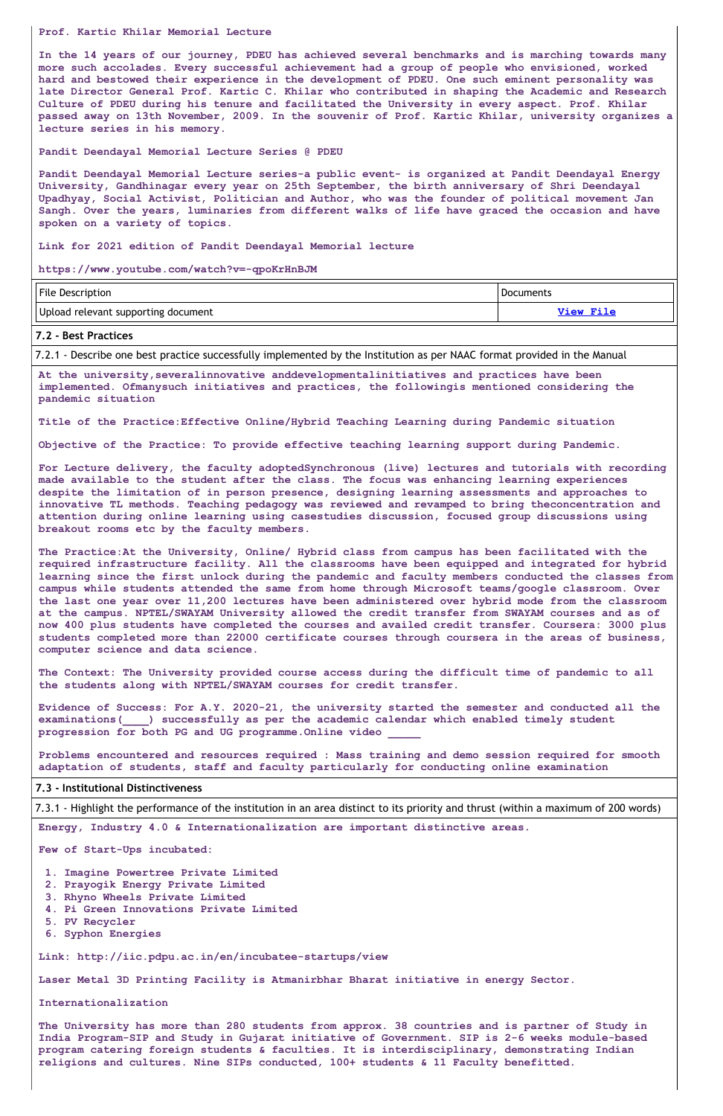#### **Prof. Kartic Khilar Memorial Lecture**

**In the 14 years of our journey, PDEU has achieved several benchmarks and is marching towards many more such accolades. Every successful achievement had a group of people who envisioned, worked hard and bestowed their experience in the development of PDEU. One such eminent personality was late Director General Prof. Kartic C. Khilar who contributed in shaping the Academic and Research Culture of PDEU during his tenure and facilitated the University in every aspect. Prof. Khilar passed away on 13th November, 2009. In the souvenir of Prof. Kartic Khilar, university organizes a lecture series in his memory.**

**Pandit Deendayal Memorial Lecture Series @ PDEU**

**Pandit Deendayal Memorial Lecture series-a public event- is organized at Pandit Deendayal Energy University, Gandhinagar every year on 25th September, the birth anniversary of Shri Deendayal Upadhyay, Social Activist, Politician and Author, who was the founder of political movement Jan Sangh. Over the years, luminaries from different walks of life have graced the occasion and have spoken on a variety of topics.**

**Link for 2021 edition of Pandit Deendayal Memorial lecture**

**https://www.youtube.com/watch?v=-qpoKrHnBJM**

| <b>File Description</b>             | Documents |
|-------------------------------------|-----------|
| Upload relevant supporting document | View File |

#### **7.2 - Best Practices**

7.2.1 - Describe one best practice successfully implemented by the Institution as per NAAC format provided in the Manual

**At the university,severalinnovative anddevelopmentalinitiatives and practices have been implemented. Ofmanysuch initiatives and practices, the followingis mentioned considering the pandemic situation**

**Title of the Practice:Effective Online/Hybrid Teaching Learning during Pandemic situation**

**Objective of the Practice: To provide effective teaching learning support during Pandemic.**

**For Lecture delivery, the faculty adoptedSynchronous (live) lectures and tutorials with recording made available to the student after the class. The focus was enhancing learning experiences despite the limitation of in person presence, designing learning assessments and approaches to innovative TL methods. Teaching pedagogy was reviewed and revamped to bring theconcentration and attention during online learning using casestudies discussion, focused group discussions using breakout rooms etc by the faculty members.**

**The Practice:At the University, Online/ Hybrid class from campus has been facilitated with the required infrastructure facility. All the classrooms have been equipped and integrated for hybrid learning since the first unlock during the pandemic and faculty members conducted the classes from campus while students attended the same from home through Microsoft teams/google classroom. Over the last one year over 11,200 lectures have been administered over hybrid mode from the classroom at the campus. NPTEL/SWAYAM University allowed the credit transfer from SWAYAM courses and as of now 400 plus students have completed the courses and availed credit transfer. Coursera: 3000 plus students completed more than 22000 certificate courses through coursera in the areas of business, computer science and data science.**

**The Context: The University provided course access during the difficult time of pandemic to all the students along with NPTEL/SWAYAM courses for credit transfer.**

**Evidence of Success: For A.Y. 2020-21, the university started the semester and conducted all the examinations(\_\_\_\_) successfully as per the academic calendar which enabled timely student progression for both PG and UG programme.Online video \_\_\_\_\_**

**Problems encountered and resources required : Mass training and demo session required for smooth adaptation of students, staff and faculty particularly for conducting online examination**

#### **7.3 - Institutional Distinctiveness**

7.3.1 - Highlight the performance of the institution in an area distinct to its priority and thrust (within a maximum of 200 words)

**Energy, Industry 4.0 & Internationalization are important distinctive areas.**

**Few of Start-Ups incubated:**

- **1. Imagine Powertree Private Limited**
- **2. Prayogik Energy Private Limited**
- **3. Rhyno Wheels Private Limited**
- **4. Pi Green Innovations Private Limited**
- **5. PV Recycler**
- **6. Syphon Energies**

**Link: http://iic.pdpu.ac.in/en/incubatee-startups/view**

**Laser Metal 3D Printing Facility is Atmanirbhar Bharat initiative in energy Sector.**

**Internationalization**

**The University has more than 280 students from approx. 38 countries and is partner of Study in India Program-SIP and Study in Gujarat initiative of Government. SIP is 2-6 weeks module-based program catering foreign students & faculties. It is interdisciplinary, demonstrating Indian religions and cultures. Nine SIPs conducted, 100+ students & 11 Faculty benefitted.**